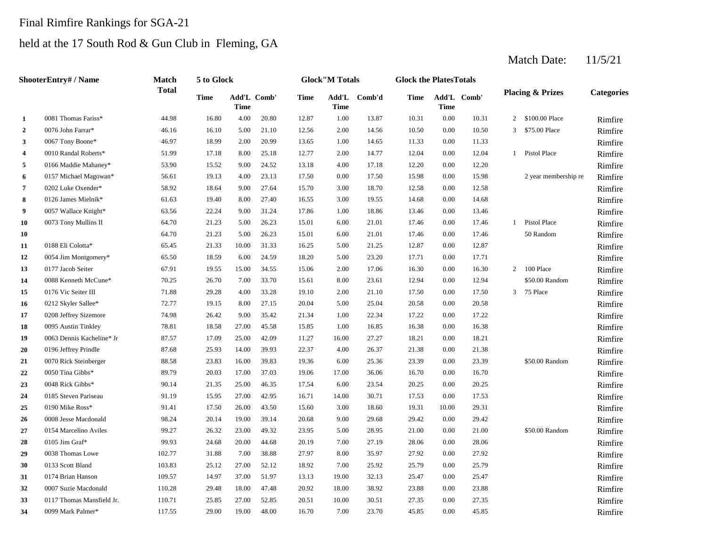## Final Rimfire Rankings for SGA-21

## held at the 17 South Rod & Gun Club in Fleming, GA

|                | ShooterEntry# / Name      | <b>Match</b> | 5 to Glock  |             |             |             | <b>Glock</b> "M Totals |        | <b>Glock the PlatesTotals</b> |             |             |                |                             |                   |
|----------------|---------------------------|--------------|-------------|-------------|-------------|-------------|------------------------|--------|-------------------------------|-------------|-------------|----------------|-----------------------------|-------------------|
|                |                           | <b>Total</b> | <b>Time</b> | <b>Time</b> | Add'L Comb' | <b>Time</b> | Add'L<br><b>Time</b>   | Comb'd | Time                          | <b>Time</b> | Add'L Comb' |                | <b>Placing &amp; Prizes</b> | <b>Categories</b> |
| 1              | 0081 Thomas Fariss*       | 44.98        | 16.80       | 4.00        | 20.80       | 12.87       | 1.00                   | 13.87  | 10.31                         | 0.00        | 10.31       | $\overline{2}$ | \$100.00 Place              | Rimfire           |
| $\overline{2}$ | 0076 John Farrar*         | 46.16        | 16.10       | 5.00        | 21.10       | 12.56       | 2.00                   | 14.56  | 10.50                         | 0.00        | 10.50       | 3              | \$75.00 Place               | Rimfire           |
| 3              | 0067 Tony Boone*          | 46.97        | 18.99       | 2.00        | 20.99       | 13.65       | 1.00                   | 14.65  | 11.33                         | 0.00        | 11.33       |                |                             | Rimfire           |
| 4              | 0010 Randal Roberts*      | 51.99        | 17.18       | 8.00        | 25.18       | 12.77       | 2.00                   | 14.77  | 12.04                         | 0.00        | 12.04       |                | 1 Pistol Place              | Rimfire           |
| 5              | 0166 Maddie Mahaney*      | 53.90        | 15.52       | 9.00        | 24.52       | 13.18       | 4.00                   | 17.18  | 12.20                         | 0.00        | 12.20       |                |                             | Rimfire           |
| 6              | 0157 Michael Magowan*     | 56.61        | 19.13       | 4.00        | 23.13       | 17.50       | 0.00                   | 17.50  | 15.98                         | 0.00        | 15.98       |                | 2 year membership re        | Rimfire           |
| 7              | 0202 Luke Oxender*        | 58.92        | 18.64       | 9.00        | 27.64       | 15.70       | 3.00                   | 18.70  | 12.58                         | 0.00        | 12.58       |                |                             | Rimfire           |
| 8              | 0126 James Mielnik*       | 61.63        | 19.40       | 8.00        | 27.40       | 16.55       | 3.00                   | 19.55  | 14.68                         | 0.00        | 14.68       |                |                             | Rimfire           |
| 9              | 0057 Wallace Knight*      | 63.56        | 22.24       | 9.00        | 31.24       | 17.86       | 1.00                   | 18.86  | 13.46                         | 0.00        | 13.46       |                |                             | Rimfire           |
| 10             | 0073 Tony Mullins II      | 64.70        | 21.23       | 5.00        | 26.23       | 15.01       | 6.00                   | 21.01  | 17.46                         | 0.00        | 17.46       |                | 1 Pistol Place              | Rimfire           |
| 10             |                           | 64.70        | 21.23       | 5.00        | 26.23       | 15.01       | 6.00                   | 21.01  | 17.46                         | 0.00        | 17.46       |                | 50 Random                   | Rimfire           |
| 11             | 0188 Eli Colotta*         | 65.45        | 21.33       | 10.00       | 31.33       | 16.25       | 5.00                   | 21.25  | 12.87                         | 0.00        | 12.87       |                |                             | Rimfire           |
| 12             | 0054 Jim Montgomery*      | 65.50        | 18.59       | 6.00        | 24.59       | 18.20       | 5.00                   | 23.20  | 17.71                         | 0.00        | 17.71       |                |                             | Rimfire           |
| 13             | 0177 Jacob Seiter         | 67.91        | 19.55       | 15.00       | 34.55       | 15.06       | 2.00                   | 17.06  | 16.30                         | 0.00        | 16.30       | 2              | 100 Place                   | Rimfire           |
| 14             | 0088 Kenneth McCune*      | 70.25        | 26.70       | 7.00        | 33.70       | 15.61       | 8.00                   | 23.61  | 12.94                         | 0.00        | 12.94       |                | \$50.00 Random              | Rimfire           |
| 15             | 0176 Vic Seiter III       | 71.88        | 29.28       | 4.00        | 33.28       | 19.10       | 2.00                   | 21.10  | 17.50                         | 0.00        | 17.50       |                | 3 75 Place                  | Rimfire           |
| 16             | 0212 Skyler Sallee*       | 72.77        | 19.15       | 8.00        | 27.15       | 20.04       | 5.00                   | 25.04  | 20.58                         | 0.00        | 20.58       |                |                             | Rimfire           |
| 17             | 0208 Jeffrey Sizemore     | 74.98        | 26.42       | 9.00        | 35.42       | 21.34       | 1.00                   | 22.34  | 17.22                         | 0.00        | 17.22       |                |                             | Rimfire           |
| 18             | 0095 Austin Tinkley       | 78.81        | 18.58       | 27.00       | 45.58       | 15.85       | 1.00                   | 16.85  | 16.38                         | 0.00        | 16.38       |                |                             | Rimfire           |
| 19             | 0063 Dennis Kacheline* Jr | 87.57        | 17.09       | 25.00       | 42.09       | 11.27       | 16.00                  | 27.27  | 18.21                         | 0.00        | 18.21       |                |                             | Rimfire           |
| 20             | 0196 Jeffrey Prindle      | 87.68        | 25.93       | 14.00       | 39.93       | 22.37       | 4.00                   | 26.37  | 21.38                         | 0.00        | 21.38       |                |                             | Rimfire           |
| 21             | 0070 Rick Steinberger     | 88.58        | 23.83       | 16.00       | 39.83       | 19.36       | 6.00                   | 25.36  | 23.39                         | 0.00        | 23.39       |                | \$50.00 Random              | Rimfire           |
| 22             | 0050 Tina Gibbs*          | 89.79        | 20.03       | 17.00       | 37.03       | 19.06       | 17.00                  | 36.06  | 16.70                         | 0.00        | 16.70       |                |                             | Rimfire           |
| 23             | 0048 Rick Gibbs*          | 90.14        | 21.35       | 25.00       | 46.35       | 17.54       | 6.00                   | 23.54  | 20.25                         | 0.00        | 20.25       |                |                             | Rimfire           |
| 24             | 0185 Steven Pariseau      | 91.19        | 15.95       | 27.00       | 42.95       | 16.71       | 14.00                  | 30.71  | 17.53                         | 0.00        | 17.53       |                |                             | Rimfire           |
| 25             | 0190 Mike Ross*           | 91.41        | 17.50       | 26.00       | 43.50       | 15.60       | 3.00                   | 18.60  | 19.31                         | 10.00       | 29.31       |                |                             | Rimfire           |
| 26             | 0008 Jesse Macdonald      | 98.24        | 20.14       | 19.00       | 39.14       | 20.68       | 9.00                   | 29.68  | 29.42                         | 0.00        | 29.42       |                |                             | Rimfire           |
| 27             | 0154 Marcelino Aviles     | 99.27        | 26.32       | 23.00       | 49.32       | 23.95       | 5.00                   | 28.95  | 21.00                         | 0.00        | $21.00\,$   |                | \$50.00 Random              | Rimfire           |
| 28             | 0105 Jim Graf*            | 99.93        | 24.68       | 20.00       | 44.68       | 20.19       | 7.00                   | 27.19  | 28.06                         | 0.00        | 28.06       |                |                             | Rimfire           |
| 29             | 0038 Thomas Lowe          | 102.77       | 31.88       | 7.00        | 38.88       | 27.97       | 8.00                   | 35.97  | 27.92                         | 0.00        | 27.92       |                |                             | Rimfire           |
| 30             | 0133 Scott Bland          | 103.83       | 25.12       | 27.00       | 52.12       | 18.92       | 7.00                   | 25.92  | 25.79                         | 0.00        | 25.79       |                |                             | Rimfire           |
| 31             | 0174 Brian Hanson         | 109.57       | 14.97       | 37.00       | 51.97       | 13.13       | 19.00                  | 32.13  | 25.47                         | 0.00        | 25.47       |                |                             | Rimfire           |
| 32             | 0007 Suzie Macdonald      | 110.28       | 29.48       | 18.00       | 47.48       | 20.92       | 18.00                  | 38.92  | 23.88                         | 0.00        | 23.88       |                |                             | Rimfire           |
| 33             | 0117 Thomas Mansfield Jr. | 110.71       | 25.85       | 27.00       | 52.85       | 20.51       | 10.00                  | 30.51  | 27.35                         | 0.00        | 27.35       |                |                             | Rimfire           |
| 34             | 0099 Mark Palmer*         | 117.55       | 29.00       | 19.00       | 48.00       | 16.70       | 7.00                   | 23.70  | 45.85                         | 0.00        | 45.85       |                |                             | Rimfire           |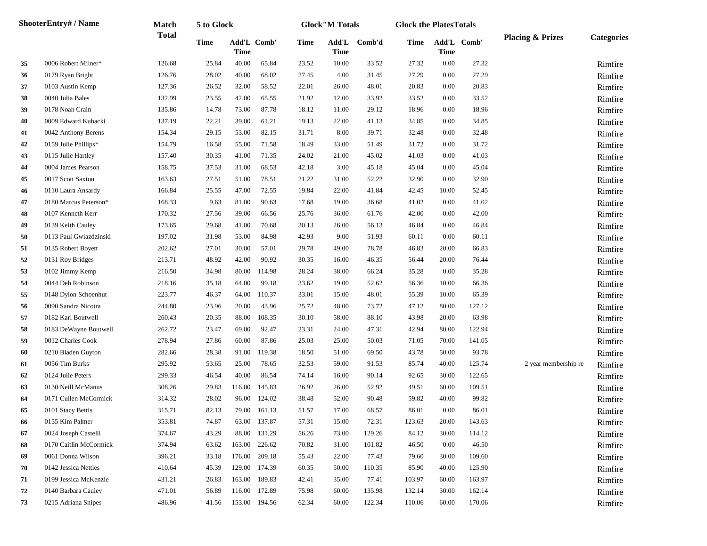|    | ShooterEntry# / Name   | <b>Match</b> | 5 to Glock  |                            |               |             | <b>Glock</b> "M Totals |        | <b>Glock the PlatesTotals</b> |             |             |                             |                   |
|----|------------------------|--------------|-------------|----------------------------|---------------|-------------|------------------------|--------|-------------------------------|-------------|-------------|-----------------------------|-------------------|
|    |                        | <b>Total</b> | <b>Time</b> | Add'L Comb'<br><b>Time</b> |               | <b>Time</b> | Add'L<br><b>Time</b>   | Comb'd | <b>Time</b>                   | <b>Time</b> | Add'L Comb' | <b>Placing &amp; Prizes</b> | <b>Categories</b> |
| 35 | 0006 Robert Milner*    | 126.68       | 25.84       | 40.00                      | 65.84         | 23.52       | 10.00                  | 33.52  | 27.32                         | 0.00        | 27.32       |                             | Rimfire           |
| 36 | 0179 Ryan Bright       | 126.76       | 28.02       | 40.00                      | 68.02         | 27.45       | 4.00                   | 31.45  | 27.29                         | 0.00        | 27.29       |                             | Rimfire           |
| 37 | 0103 Austin Kemp       | 127.36       | 26.52       | 32.00                      | 58.52         | 22.01       | 26.00                  | 48.01  | 20.83                         | 0.00        | 20.83       |                             | Rimfire           |
| 38 | 0040 Julia Bales       | 132.99       | 23.55       | 42.00                      | 65.55         | 21.92       | 12.00                  | 33.92  | 33.52                         | 0.00        | 33.52       |                             | Rimfire           |
| 39 | 0178 Noah Crain        | 135.86       | 14.78       | 73.00                      | 87.78         | 18.12       | 11.00                  | 29.12  | 18.96                         | 0.00        | 18.96       |                             | Rimfire           |
| 40 | 0009 Edward Kubacki    | 137.19       | 22.21       | 39.00                      | 61.21         | 19.13       | 22.00                  | 41.13  | 34.85                         | 0.00        | 34.85       |                             | Rimfire           |
| 41 | 0042 Anthony Berens    | 154.34       | 29.15       | 53.00                      | 82.15         | 31.71       | 8.00                   | 39.71  | 32.48                         | 0.00        | 32.48       |                             | Rimfire           |
| 42 | 0159 Julie Phillips*   | 154.79       | 16.58       | 55.00                      | 71.58         | 18.49       | 33.00                  | 51.49  | 31.72                         | 0.00        | 31.72       |                             | Rimfire           |
| 43 | 0115 Julie Hartley     | 157.40       | 30.35       | 41.00                      | 71.35         | 24.02       | 21.00                  | 45.02  | 41.03                         | 0.00        | 41.03       |                             | Rimfire           |
| 44 | 0004 James Pearson     | 158.75       | 37.53       | 31.00                      | 68.53         | 42.18       | 3.00                   | 45.18  | 45.04                         | 0.00        | 45.04       |                             | Rimfire           |
| 45 | 0017 Scott Saxton      | 163.63       | 27.51       | 51.00                      | 78.51         | 21.22       | 31.00                  | 52.22  | 32.90                         | 0.00        | 32.90       |                             | Rimfire           |
| 46 | 0110 Laura Ansardy     | 166.84       | 25.55       | 47.00                      | 72.55         | 19.84       | 22.00                  | 41.84  | 42.45                         | 10.00       | 52.45       |                             | Rimfire           |
| 47 | 0180 Marcus Peterson*  | 168.33       | 9.63        | 81.00                      | 90.63         | 17.68       | 19.00                  | 36.68  | 41.02                         | 0.00        | 41.02       |                             | Rimfire           |
| 48 | 0107 Kenneth Kerr      | 170.32       | 27.56       | 39.00                      | 66.56         | 25.76       | 36.00                  | 61.76  | 42.00                         | 0.00        | 42.00       |                             | Rimfire           |
| 49 | 0139 Keith Cauley      | 173.65       | 29.68       | 41.00                      | 70.68         | 30.13       | 26.00                  | 56.13  | 46.84                         | 0.00        | 46.84       |                             | Rimfire           |
| 50 | 0113 Paul Gwiazdzinski | 197.02       | 31.98       | 53.00                      | 84.98         | 42.93       | 9.00                   | 51.93  | 60.11                         | 0.00        | 60.11       |                             | Rimfire           |
| 51 | 0135 Robert Boyett     | 202.62       | 27.01       | 30.00                      | 57.01         | 29.78       | 49.00                  | 78.78  | 46.83                         | 20.00       | 66.83       |                             | Rimfire           |
| 52 | 0131 Roy Bridges       | 213.71       | 48.92       | 42.00                      | 90.92         | 30.35       | 16.00                  | 46.35  | 56.44                         | 20.00       | 76.44       |                             | Rimfire           |
| 53 | 0102 Jimmy Kemp        | 216.50       | 34.98       | 80.00                      | 114.98        | 28.24       | 38.00                  | 66.24  | 35.28                         | 0.00        | 35.28       |                             | Rimfire           |
| 54 | 0044 Deb Robinson      | 218.16       | 35.18       | 64.00                      | 99.18         | 33.62       | 19.00                  | 52.62  | 56.36                         | 10.00       | 66.36       |                             | Rimfire           |
| 55 | 0148 Dylon Schoenhut   | 223.77       | 46.37       | 64.00                      | 110.37        | 33.01       | 15.00                  | 48.01  | 55.39                         | 10.00       | 65.39       |                             | Rimfire           |
| 56 | 0090 Sandra Nicotra    | 244.80       | 23.96       | 20.00                      | 43.96         | 25.72       | 48.00                  | 73.72  | 47.12                         | 80.00       | 127.12      |                             | Rimfire           |
| 57 | 0182 Karl Boutwell     | 260.43       | 20.35       | 88.00                      | 108.35        | 30.10       | 58.00                  | 88.10  | 43.98                         | 20.00       | 63.98       |                             | Rimfire           |
| 58 | 0183 DeWayne Boutwell  | 262.72       | 23.47       | 69.00                      | 92.47         | 23.31       | 24.00                  | 47.31  | 42.94                         | 80.00       | 122.94      |                             | Rimfire           |
| 59 | 0012 Charles Cook      | 278.94       | 27.86       | 60.00                      | 87.86         | 25.03       | 25.00                  | 50.03  | 71.05                         | 70.00       | 141.05      |                             | Rimfire           |
| 60 | 0210 Bladen Guyton     | 282.66       | 28.38       | 91.00                      | 119.38        | 18.50       | 51.00                  | 69.50  | 43.78                         | 50.00       | 93.78       |                             | Rimfire           |
| 61 | 0056 Tim Burks         | 295.92       | 53.65       | 25.00                      | 78.65         | 32.53       | 59.00                  | 91.53  | 85.74                         | 40.00       | 125.74      | 2 year membership re        | Rimfire           |
| 62 | 0124 Julie Peters      | 299.33       | 46.54       | 40.00                      | 86.54         | 74.14       | 16.00                  | 90.14  | 92.65                         | 30.00       | 122.65      |                             | Rimfire           |
| 63 | 0130 Neill McManus     | 308.26       | 29.83       | 116.00                     | 145.83        | 26.92       | 26.00                  | 52.92  | 49.51                         | 60.00       | 109.51      |                             | Rimfire           |
| 64 | 0171 Cullen McCormick  | 314.32       | 28.02       | 96.00                      | 124.02        | 38.48       | 52.00                  | 90.48  | 59.82                         | 40.00       | 99.82       |                             | Rimfire           |
| 65 | 0101 Stacy Bettis      | 315.71       | 82.13       |                            | 79.00 161.13  | 51.57       | 17.00                  | 68.57  | 86.01                         | 0.00        | 86.01       |                             | Rimfire           |
| 66 | 0155 Kim Palmer        | 353.81       | 74.87       | 63.00                      | 137.87        | 57.31       | 15.00                  | 72.31  | 123.63                        | 20.00       | 143.63      |                             | Rimfire           |
| 67 | 0024 Joseph Castelli   | 374.67       | 43.29       |                            | 88.00 131.29  | 56.26       | 73.00                  | 129.26 | 84.12                         | 30.00       | 114.12      |                             | Rimfire           |
| 68 | 0170 Caitlin McCormick | 374.94       | 63.62       | 163.00                     | 226.62        | 70.82       | 31.00                  | 101.82 | 46.50                         | 0.00        | 46.50       |                             | Rimfire           |
| 69 | 0061 Donna Wilson      | 396.21       | 33.18       |                            | 176.00 209.18 | 55.43       | 22.00                  | 77.43  | 79.60                         | 30.00       | 109.60      |                             | Rimfire           |
| 70 | 0142 Jessica Nettles   | 410.64       | 45.39       |                            | 129.00 174.39 | 60.35       | 50.00                  | 110.35 | 85.90                         | 40.00       | 125.90      |                             | Rimfire           |
| 71 | 0199 Jessica McKenzie  | 431.21       | 26.83       | 163.00                     | 189.83        | 42.41       | 35.00                  | 77.41  | 103.97                        | 60.00       | 163.97      |                             | Rimfire           |
| 72 | 0140 Barbara Cauley    | 471.01       | 56.89       |                            | 116.00 172.89 | 75.98       | 60.00                  | 135.98 | 132.14                        | 30.00       | 162.14      |                             | Rimfire           |
| 73 | 0215 Adriana Snipes    | 486.96       | 41.56       |                            | 153.00 194.56 | 62.34       | 60.00                  | 122.34 | 110.06                        | 60.00       | 170.06      |                             | Rimfire           |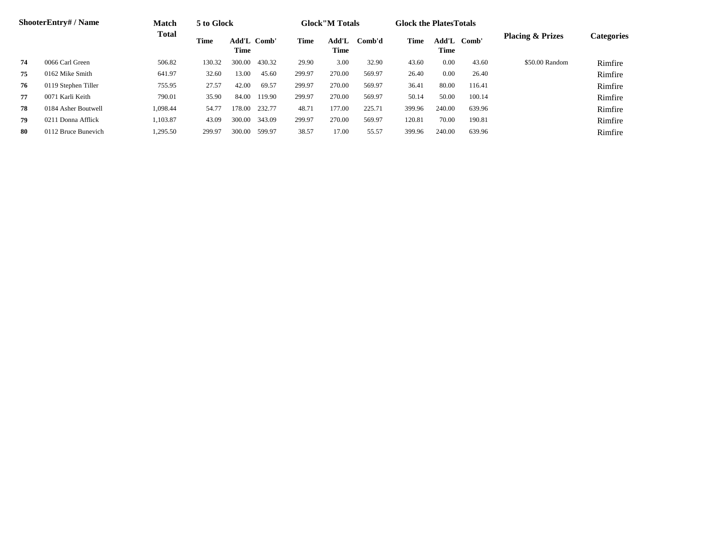|    | <b>ShooterEntry#/Name</b> | <b>Match</b> | 5 to Glock  |                     |        |        | <b>Glock</b> "M Totals |        | <b>Glock the PlatesTotals</b> |               |        |                             |            |
|----|---------------------------|--------------|-------------|---------------------|--------|--------|------------------------|--------|-------------------------------|---------------|--------|-----------------------------|------------|
|    |                           | <b>Total</b> | <b>Time</b> | Add'L Comb'<br>Time |        | Time   | Add'L<br>Time          | Comb'd | Time                          | Add'L<br>Time | Comb'  | <b>Placing &amp; Prizes</b> | Categories |
| 74 | 0066 Carl Green           | 506.82       | 130.32      | 300.00              | 430.32 | 29.90  | 3.00                   | 32.90  | 43.60                         | 0.00          | 43.60  | \$50.00 Random              | Rimfire    |
| 75 | 0162 Mike Smith           | 641.97       | 32.60       | 13.00               | 45.60  | 299.97 | 270.00                 | 569.97 | 26.40                         | 0.00          | 26.40  |                             | Rimfire    |
| 76 | 0119 Stephen Tiller       | 755.95       | 27.57       | 42.00               | 69.57  | 299.97 | 270.00                 | 569.97 | 36.41                         | 80.00         | 116.41 |                             | Rimfire    |
| 77 | 0071 Karli Keith          | 790.01       | 35.90       | 84.00               | 119.90 | 299.97 | 270.00                 | 569.97 | 50.14                         | 50.00         | 100.14 |                             | Rimfire    |
| 78 | 0184 Asher Boutwell       | 1.098.44     | 54.77       | 178.00              | 232.77 | 48.71  | 177.00                 | 225.71 | 399.96                        | 240.00        | 639.96 |                             | Rimfire    |
| 79 | 0211 Donna Afflick        | 103.87       | 43.09       | 300.00              | 343.09 | 299.97 | 270.00                 | 569.97 | 120.81                        | 70.00         | 190.81 |                             | Rimfire    |
| 80 | 0112 Bruce Bunevich       | .295.50      | 299.97      | 300.00              | 599.97 | 38.57  | 17.00                  | 55.57  | 399.96                        | 240.00        | 639.96 |                             | Rimfire    |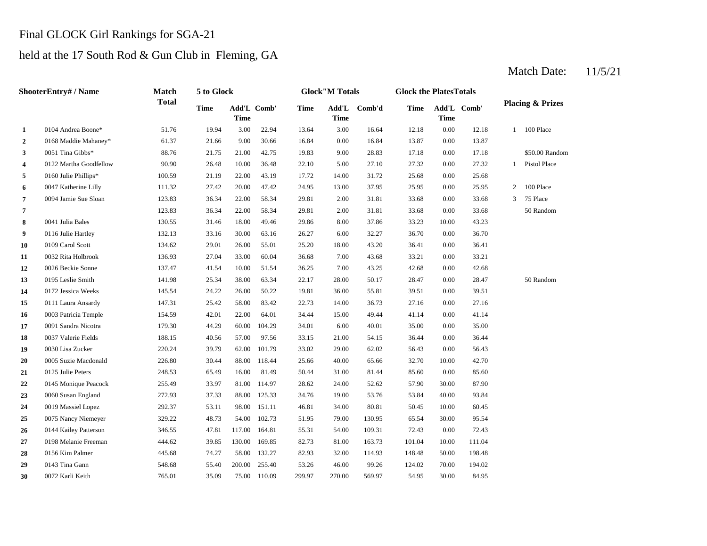## Final GLOCK Girl Rankings for SGA-21

# held at the 17 South Rod & Gun Club in Fleming, GA

|              | <b>ShooterEntry#/Name</b> | <b>Match</b> | 5 to Glock  |                            |        |             | <b>Glock</b> "M Totals |        | <b>Glock the PlatesTotals</b> |             |             |                |                             |
|--------------|---------------------------|--------------|-------------|----------------------------|--------|-------------|------------------------|--------|-------------------------------|-------------|-------------|----------------|-----------------------------|
|              |                           | <b>Total</b> | <b>Time</b> | Add'L Comb'<br><b>Time</b> |        | <b>Time</b> | Add'L<br><b>Time</b>   | Comb'd | Time                          | <b>Time</b> | Add'L Comb' |                | <b>Placing &amp; Prizes</b> |
| $\mathbf{1}$ | 0104 Andrea Boone*        | 51.76        | 19.94       | 3.00                       | 22.94  | 13.64       | 3.00                   | 16.64  | 12.18                         | 0.00        | 12.18       |                | 1 100 Place                 |
| 2            | 0168 Maddie Mahaney*      | 61.37        | 21.66       | 9.00                       | 30.66  | 16.84       | 0.00                   | 16.84  | 13.87                         | 0.00        | 13.87       |                |                             |
| 3            | 0051 Tina Gibbs*          | 88.76        | 21.75       | 21.00                      | 42.75  | 19.83       | 9.00                   | 28.83  | 17.18                         | 0.00        | 17.18       |                | \$50.00 Random              |
| 4            | 0122 Martha Goodfellow    | 90.90        | 26.48       | 10.00                      | 36.48  | 22.10       | 5.00                   | 27.10  | 27.32                         | 0.00        | 27.32       | 1              | Pistol Place                |
| 5            | 0160 Julie Phillips*      | 100.59       | 21.19       | 22.00                      | 43.19  | 17.72       | 14.00                  | 31.72  | 25.68                         | 0.00        | 25.68       |                |                             |
| 6            | 0047 Katherine Lilly      | 111.32       | 27.42       | 20.00                      | 47.42  | 24.95       | 13.00                  | 37.95  | 25.95                         | 0.00        | 25.95       | $\overline{2}$ | 100 Place                   |
| 7            | 0094 Jamie Sue Sloan      | 123.83       | 36.34       | 22.00                      | 58.34  | 29.81       | 2.00                   | 31.81  | 33.68                         | 0.00        | 33.68       |                | 3 75 Place                  |
| 7            |                           | 123.83       | 36.34       | 22.00                      | 58.34  | 29.81       | 2.00                   | 31.81  | 33.68                         | 0.00        | 33.68       |                | 50 Random                   |
| 8            | 0041 Julia Bales          | 130.55       | 31.46       | 18.00                      | 49.46  | 29.86       | 8.00                   | 37.86  | 33.23                         | 10.00       | 43.23       |                |                             |
| 9            | 0116 Julie Hartley        | 132.13       | 33.16       | 30.00                      | 63.16  | 26.27       | 6.00                   | 32.27  | 36.70                         | 0.00        | 36.70       |                |                             |
| 10           | 0109 Carol Scott          | 134.62       | 29.01       | 26.00                      | 55.01  | 25.20       | 18.00                  | 43.20  | 36.41                         | 0.00        | 36.41       |                |                             |
| 11           | 0032 Rita Holbrook        | 136.93       | 27.04       | 33.00                      | 60.04  | 36.68       | 7.00                   | 43.68  | 33.21                         | 0.00        | 33.21       |                |                             |
| 12           | 0026 Beckie Sonne         | 137.47       | 41.54       | 10.00                      | 51.54  | 36.25       | 7.00                   | 43.25  | 42.68                         | 0.00        | 42.68       |                |                             |
| 13           | 0195 Leslie Smith         | 141.98       | 25.34       | 38.00                      | 63.34  | 22.17       | 28.00                  | 50.17  | 28.47                         | 0.00        | 28.47       |                | 50 Random                   |
| 14           | 0172 Jessica Weeks        | 145.54       | 24.22       | 26.00                      | 50.22  | 19.81       | 36.00                  | 55.81  | 39.51                         | 0.00        | 39.51       |                |                             |
| 15           | 0111 Laura Ansardy        | 147.31       | 25.42       | 58.00                      | 83.42  | 22.73       | 14.00                  | 36.73  | 27.16                         | 0.00        | 27.16       |                |                             |
| 16           | 0003 Patricia Temple      | 154.59       | 42.01       | 22.00                      | 64.01  | 34.44       | 15.00                  | 49.44  | 41.14                         | 0.00        | 41.14       |                |                             |
| 17           | 0091 Sandra Nicotra       | 179.30       | 44.29       | 60.00                      | 104.29 | 34.01       | 6.00                   | 40.01  | 35.00                         | 0.00        | 35.00       |                |                             |
| 18           | 0037 Valerie Fields       | 188.15       | 40.56       | 57.00                      | 97.56  | 33.15       | 21.00                  | 54.15  | 36.44                         | 0.00        | 36.44       |                |                             |
| 19           | 0030 Lisa Zucker          | 220.24       | 39.79       | 62.00                      | 101.79 | 33.02       | 29.00                  | 62.02  | 56.43                         | 0.00        | 56.43       |                |                             |
| 20           | 0005 Suzie Macdonald      | 226.80       | 30.44       | 88.00                      | 118.44 | 25.66       | 40.00                  | 65.66  | 32.70                         | 10.00       | 42.70       |                |                             |
| 21           | 0125 Julie Peters         | 248.53       | 65.49       | 16.00                      | 81.49  | 50.44       | 31.00                  | 81.44  | 85.60                         | 0.00        | 85.60       |                |                             |
| 22           | 0145 Monique Peacock      | 255.49       | 33.97       | 81.00                      | 114.97 | 28.62       | 24.00                  | 52.62  | 57.90                         | 30.00       | 87.90       |                |                             |
| 23           | 0060 Susan England        | 272.93       | 37.33       | 88.00                      | 125.33 | 34.76       | 19.00                  | 53.76  | 53.84                         | 40.00       | 93.84       |                |                             |
| 24           | 0019 Massiel Lopez        | 292.37       | 53.11       | 98.00                      | 151.11 | 46.81       | 34.00                  | 80.81  | 50.45                         | 10.00       | 60.45       |                |                             |
| 25           | 0075 Nancy Niemeyer       | 329.22       | 48.73       | 54.00                      | 102.73 | 51.95       | 79.00                  | 130.95 | 65.54                         | 30.00       | 95.54       |                |                             |
| 26           | 0144 Kailey Patterson     | 346.55       | 47.81       | 117.00                     | 164.81 | 55.31       | 54.00                  | 109.31 | 72.43                         | 0.00        | 72.43       |                |                             |
| 27           | 0198 Melanie Freeman      | 444.62       | 39.85       | 130.00                     | 169.85 | 82.73       | 81.00                  | 163.73 | 101.04                        | 10.00       | 111.04      |                |                             |
| 28           | 0156 Kim Palmer           | 445.68       | 74.27       | 58.00                      | 132.27 | 82.93       | 32.00                  | 114.93 | 148.48                        | 50.00       | 198.48      |                |                             |
| 29           | 0143 Tina Gann            | 548.68       | 55.40       | 200.00                     | 255.40 | 53.26       | 46.00                  | 99.26  | 124.02                        | 70.00       | 194.02      |                |                             |
| 30           | 0072 Karli Keith          | 765.01       | 35.09       | 75.00                      | 110.09 | 299.97      | 270.00                 | 569.97 | 54.95                         | 30.00       | 84.95       |                |                             |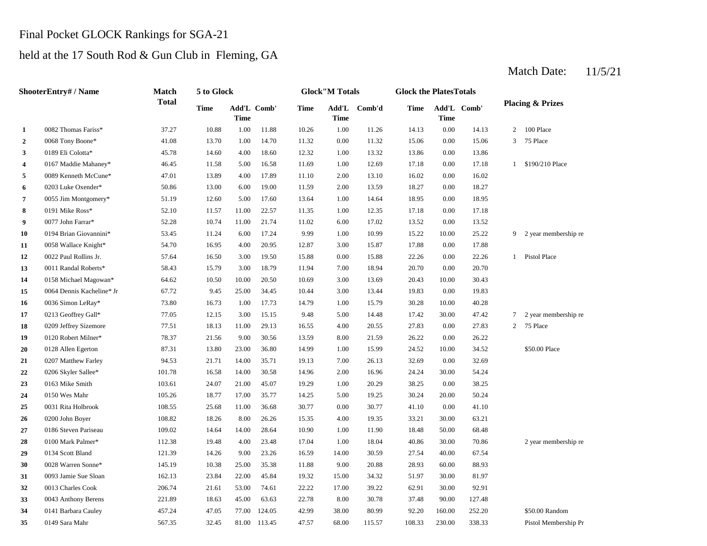## Final Pocket GLOCK Rankings for SGA-21

## held at the 17 South Rod & Gun Club in Fleming, GA

|                         | ShooterEntry# / Name          | Match        | 5 to Glock  |                            |              |             | <b>Glock</b> "M Totals |        | <b>Glock the PlatesTotals</b> |                            |        |                |                             |
|-------------------------|-------------------------------|--------------|-------------|----------------------------|--------------|-------------|------------------------|--------|-------------------------------|----------------------------|--------|----------------|-----------------------------|
|                         |                               | <b>Total</b> | <b>Time</b> | Add'L Comb'<br><b>Time</b> |              | <b>Time</b> | Add'L<br><b>Time</b>   | Comb'd | Time                          | Add'L Comb'<br><b>Time</b> |        |                | <b>Placing &amp; Prizes</b> |
| 1                       | 0082 Thomas Fariss*           | 37.27        | 10.88       | 1.00                       | 11.88        | 10.26       | 1.00                   | 11.26  | 14.13                         | 0.00                       | 14.13  | 2              | 100 Place                   |
| $\overline{2}$          | 0068 Tony Boone*              | 41.08        | 13.70       | 1.00                       | 14.70        | 11.32       | 0.00                   | 11.32  | 15.06                         | 0.00                       | 15.06  | 3              | 75 Place                    |
| 3                       | 0189 Eli Colotta*             | 45.78        | 14.60       | 4.00                       | 18.60        | 12.32       | 1.00                   | 13.32  | 13.86                         | 0.00                       | 13.86  |                |                             |
| $\overline{\mathbf{4}}$ | 0167 Maddie Mahaney*          | 46.45        | 11.58       | 5.00                       | 16.58        | 11.69       | 1.00                   | 12.69  | 17.18                         | 0.00                       | 17.18  | 1              | \$190/210 Place             |
| 5                       | 0089 Kenneth McCune*          | 47.01        | 13.89       | 4.00                       | 17.89        | 11.10       | 2.00                   | 13.10  | 16.02                         | 0.00                       | 16.02  |                |                             |
| 6                       | 0203 Luke Oxender*            | 50.86        | 13.00       | 6.00                       | 19.00        | 11.59       | 2.00                   | 13.59  | 18.27                         | 0.00                       | 18.27  |                |                             |
| 7                       | 0055 Jim Montgomery*          | 51.19        | 12.60       | 5.00                       | 17.60        | 13.64       | 1.00                   | 14.64  | 18.95                         | 0.00                       | 18.95  |                |                             |
| 8                       | $0191$ Mike $\mathrm{Ross}^*$ | 52.10        | 11.57       | 11.00                      | 22.57        | 11.35       | 1.00                   | 12.35  | 17.18                         | 0.00                       | 17.18  |                |                             |
| 9                       | 0077 John Farrar*             | 52.28        | 10.74       | 11.00                      | 21.74        | 11.02       | 6.00                   | 17.02  | 13.52                         | 0.00                       | 13.52  |                |                             |
| 10                      | 0194 Brian Giovannini*        | 53.45        | 11.24       | 6.00                       | 17.24        | 9.99        | 1.00                   | 10.99  | 15.22                         | 10.00                      | 25.22  |                | 9 2 year membership re      |
| 11                      | 0058 Wallace Knight*          | 54.70        | 16.95       | 4.00                       | 20.95        | 12.87       | 3.00                   | 15.87  | 17.88                         | 0.00                       | 17.88  |                |                             |
| 12                      | 0022 Paul Rollins Jr.         | 57.64        | 16.50       | 3.00                       | 19.50        | 15.88       | 0.00                   | 15.88  | 22.26                         | 0.00                       | 22.26  | $\mathbf{1}$   | Pistol Place                |
| 13                      | 0011 Randal Roberts*          | 58.43        | 15.79       | 3.00                       | 18.79        | 11.94       | 7.00                   | 18.94  | 20.70                         | 0.00                       | 20.70  |                |                             |
| 14                      | 0158 Michael Magowan*         | 64.62        | 10.50       | 10.00                      | 20.50        | 10.69       | 3.00                   | 13.69  | 20.43                         | 10.00                      | 30.43  |                |                             |
| 15                      | 0064 Dennis Kacheline* Jr     | 67.72        | 9.45        | 25.00                      | 34.45        | 10.44       | 3.00                   | 13.44  | 19.83                         | 0.00                       | 19.83  |                |                             |
| 16                      | 0036 Simon LeRay*             | 73.80        | 16.73       | 1.00                       | 17.73        | 14.79       | 1.00                   | 15.79  | 30.28                         | 10.00                      | 40.28  |                |                             |
| 17                      | 0213 Geoffrey Gall*           | 77.05        | 12.15       | 3.00                       | 15.15        | 9.48        | 5.00                   | 14.48  | 17.42                         | 30.00                      | 47.42  | 7              | 2 year membership re        |
| 18                      | 0209 Jeffrey Sizemore         | 77.51        | 18.13       | 11.00                      | 29.13        | 16.55       | 4.00                   | 20.55  | 27.83                         | 0.00                       | 27.83  | $\overline{2}$ | 75 Place                    |
| 19                      | 0120 Robert Milner*           | 78.37        | 21.56       | 9.00                       | 30.56        | 13.59       | 8.00                   | 21.59  | 26.22                         | 0.00                       | 26.22  |                |                             |
| 20                      | 0128 Allen Egerton            | 87.31        | 13.80       | 23.00                      | 36.80        | 14.99       | 1.00                   | 15.99  | 24.52                         | 10.00                      | 34.52  |                | \$50.00 Place               |
| 21                      | 0207 Matthew Farley           | 94.53        | 21.71       | 14.00                      | 35.71        | 19.13       | 7.00                   | 26.13  | 32.69                         | 0.00                       | 32.69  |                |                             |
| 22                      | 0206 Skyler Sallee*           | 101.78       | 16.58       | 14.00                      | 30.58        | 14.96       | 2.00                   | 16.96  | 24.24                         | 30.00                      | 54.24  |                |                             |
| 23                      | 0163 Mike Smith               | 103.61       | 24.07       | 21.00                      | 45.07        | 19.29       | 1.00                   | 20.29  | 38.25                         | 0.00                       | 38.25  |                |                             |
| 24                      | 0150 Wes Mahr                 | 105.26       | 18.77       | 17.00                      | 35.77        | 14.25       | 5.00                   | 19.25  | 30.24                         | 20.00                      | 50.24  |                |                             |
| 25                      | 0031 Rita Holbrook            | 108.55       | 25.68       | 11.00                      | 36.68        | 30.77       | 0.00                   | 30.77  | 41.10                         | 0.00                       | 41.10  |                |                             |
| 26                      | 0200 John Boyer               | 108.82       | 18.26       | 8.00                       | 26.26        | 15.35       | 4.00                   | 19.35  | 33.21                         | 30.00                      | 63.21  |                |                             |
| 27                      | 0186 Steven Pariseau          | 109.02       | 14.64       | 14.00                      | 28.64        | 10.90       | 1.00                   | 11.90  | 18.48                         | 50.00                      | 68.48  |                |                             |
| 28                      | 0100 Mark Palmer*             | 112.38       | 19.48       | 4.00                       | 23.48        | 17.04       | 1.00                   | 18.04  | 40.86                         | 30.00                      | 70.86  |                | 2 year membership re        |
| 29                      | 0134 Scott Bland              | 121.39       | 14.26       | 9.00                       | 23.26        | 16.59       | 14.00                  | 30.59  | 27.54                         | 40.00                      | 67.54  |                |                             |
| 30                      | 0028 Warren Sonne*            | 145.19       | 10.38       | 25.00                      | 35.38        | 11.88       | 9.00                   | 20.88  | 28.93                         | 60.00                      | 88.93  |                |                             |
| 31                      | 0093 Jamie Sue Sloan          | 162.13       | 23.84       | 22.00                      | 45.84        | 19.32       | 15.00                  | 34.32  | 51.97                         | 30.00                      | 81.97  |                |                             |
| 32                      | 0013 Charles Cook             | 206.74       | 21.61       | 53.00                      | 74.61        | 22.22       | 17.00                  | 39.22  | 62.91                         | 30.00                      | 92.91  |                |                             |
| 33                      | 0043 Anthony Berens           | 221.89       | 18.63       | 45.00                      | 63.63        | 22.78       | 8.00                   | 30.78  | 37.48                         | 90.00                      | 127.48 |                |                             |
| 34                      | 0141 Barbara Cauley           | 457.24       | 47.05       | 77.00                      | 124.05       | 42.99       | 38.00                  | 80.99  | 92.20                         | 160.00                     | 252.20 |                | \$50.00 Random              |
| 35                      | 0149 Sara Mahr                | 567.35       | 32.45       |                            | 81.00 113.45 | 47.57       | 68.00                  | 115.57 | 108.33                        | 230.00                     | 338.33 |                | Pistol Membership Pr        |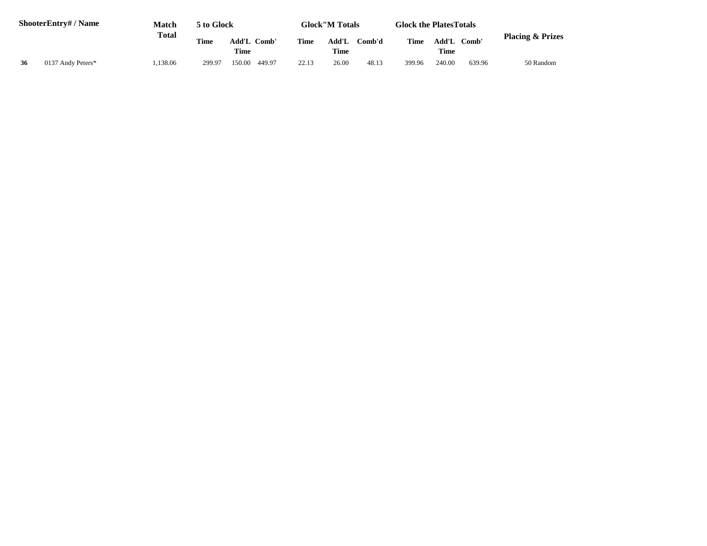|    | <b>ShooterEntry#/Name</b> | Match        | <b>5 to Glock</b> |                      |        |       | <b>Glock</b> "M Totals |        | <b>Glock the PlatesTotals</b> |                      |        |                             |
|----|---------------------------|--------------|-------------------|----------------------|--------|-------|------------------------|--------|-------------------------------|----------------------|--------|-----------------------------|
|    |                           | <b>Total</b> | <b>Time</b>       | Add'L<br><b>Time</b> | Comb'  | Time  | Add'I<br>Time          | Comb'd | <b>Time</b>                   | Add'L<br><b>Time</b> | Comb'  | <b>Placing &amp; Prizes</b> |
| 36 | 0137 Andy Peters*         | .138.06      | 299.97            | 150.00               | 449.97 | 22.13 | 26.00                  | 48.13  | 399.96                        | 240.00               | 639.96 | 50 Random                   |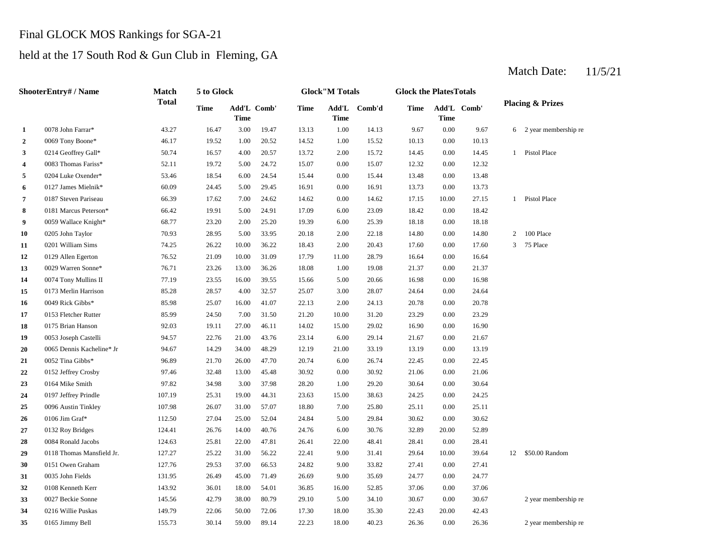## Final GLOCK MOS Rankings for SGA-21

## held at the 17 South Rod & Gun Club in Fleming, GA

|                    | ShooterEntry# / Name      | Match        | 5 to Glock  |                            |       |             | <b>Glock</b> "M Totals |        | <b>Glock the PlatesTotals</b> |             |             |              |                             |
|--------------------|---------------------------|--------------|-------------|----------------------------|-------|-------------|------------------------|--------|-------------------------------|-------------|-------------|--------------|-----------------------------|
|                    |                           | <b>Total</b> | <b>Time</b> | Add'L Comb'<br><b>Time</b> |       | <b>Time</b> | Add'L<br><b>Time</b>   | Comb'd | Time                          | <b>Time</b> | Add'L Comb' |              | <b>Placing &amp; Prizes</b> |
| $\mathbf{1}$       | 0078 John Farrar*         | 43.27        | 16.47       | 3.00                       | 19.47 | 13.13       | 1.00                   | 14.13  | 9.67                          | 0.00        | 9.67        | 6            | 2 year membership re        |
| $\overline{2}$     | 0069 Tony Boone*          | 46.17        | 19.52       | 1.00                       | 20.52 | 14.52       | 1.00                   | 15.52  | 10.13                         | 0.00        | 10.13       |              |                             |
| 3                  | 0214 Geoffrey Gall*       | 50.74        | 16.57       | 4.00                       | 20.57 | 13.72       | 2.00                   | 15.72  | 14.45                         | 0.00        | 14.45       | $\mathbf{1}$ | Pistol Place                |
| $\overline{\bf 4}$ | 0083 Thomas Fariss*       | 52.11        | 19.72       | 5.00                       | 24.72 | 15.07       | 0.00                   | 15.07  | 12.32                         | 0.00        | 12.32       |              |                             |
| 5                  | 0204 Luke Oxender*        | 53.46        | 18.54       | 6.00                       | 24.54 | 15.44       | 0.00                   | 15.44  | 13.48                         | 0.00        | 13.48       |              |                             |
| 6                  | 0127 James Mielnik*       | 60.09        | 24.45       | 5.00                       | 29.45 | 16.91       | 0.00                   | 16.91  | 13.73                         | 0.00        | 13.73       |              |                             |
| 7                  | 0187 Steven Pariseau      | 66.39        | 17.62       | 7.00                       | 24.62 | 14.62       | 0.00                   | 14.62  | 17.15                         | 10.00       | 27.15       | 1            | Pistol Place                |
| 8                  | 0181 Marcus Peterson*     | 66.42        | 19.91       | 5.00                       | 24.91 | 17.09       | 6.00                   | 23.09  | 18.42                         | 0.00        | 18.42       |              |                             |
| 9                  | 0059 Wallace Knight*      | 68.77        | 23.20       | 2.00                       | 25.20 | 19.39       | 6.00                   | 25.39  | 18.18                         | 0.00        | 18.18       |              |                             |
| 10                 | 0205 John Taylor          | 70.93        | 28.95       | 5.00                       | 33.95 | 20.18       | 2.00                   | 22.18  | 14.80                         | 0.00        | 14.80       | 2            | 100 Place                   |
| 11                 | 0201 William Sims         | 74.25        | 26.22       | 10.00                      | 36.22 | 18.43       | 2.00                   | 20.43  | 17.60                         | 0.00        | 17.60       | 3            | 75 Place                    |
| 12                 | 0129 Allen Egerton        | 76.52        | 21.09       | 10.00                      | 31.09 | 17.79       | 11.00                  | 28.79  | 16.64                         | 0.00        | 16.64       |              |                             |
| 13                 | 0029 Warren Sonne*        | 76.71        | 23.26       | 13.00                      | 36.26 | 18.08       | 1.00                   | 19.08  | 21.37                         | 0.00        | 21.37       |              |                             |
| 14                 | 0074 Tony Mullins II      | 77.19        | 23.55       | 16.00                      | 39.55 | 15.66       | 5.00                   | 20.66  | 16.98                         | 0.00        | 16.98       |              |                             |
| 15                 | 0173 Merlin Harrison      | 85.28        | 28.57       | 4.00                       | 32.57 | 25.07       | 3.00                   | 28.07  | 24.64                         | 0.00        | 24.64       |              |                             |
| 16                 | 0049 Rick Gibbs*          | 85.98        | 25.07       | 16.00                      | 41.07 | 22.13       | 2.00                   | 24.13  | 20.78                         | 0.00        | 20.78       |              |                             |
| 17                 | 0153 Fletcher Rutter      | 85.99        | 24.50       | 7.00                       | 31.50 | 21.20       | 10.00                  | 31.20  | 23.29                         | 0.00        | 23.29       |              |                             |
| 18                 | 0175 Brian Hanson         | 92.03        | 19.11       | 27.00                      | 46.11 | 14.02       | 15.00                  | 29.02  | 16.90                         | 0.00        | 16.90       |              |                             |
| 19                 | 0053 Joseph Castelli      | 94.57        | 22.76       | 21.00                      | 43.76 | 23.14       | 6.00                   | 29.14  | 21.67                         | 0.00        | 21.67       |              |                             |
| 20                 | 0065 Dennis Kacheline* Jr | 94.67        | 14.29       | 34.00                      | 48.29 | 12.19       | 21.00                  | 33.19  | 13.19                         | 0.00        | 13.19       |              |                             |
| 21                 | 0052 Tina Gibbs*          | 96.89        | 21.70       | 26.00                      | 47.70 | 20.74       | 6.00                   | 26.74  | 22.45                         | 0.00        | 22.45       |              |                             |
| 22                 | 0152 Jeffrey Crosby       | 97.46        | 32.48       | 13.00                      | 45.48 | 30.92       | 0.00                   | 30.92  | 21.06                         | 0.00        | 21.06       |              |                             |
| 23                 | 0164 Mike Smith           | 97.82        | 34.98       | 3.00                       | 37.98 | 28.20       | 1.00                   | 29.20  | 30.64                         | 0.00        | 30.64       |              |                             |
| 24                 | 0197 Jeffrey Prindle      | 107.19       | 25.31       | 19.00                      | 44.31 | 23.63       | 15.00                  | 38.63  | 24.25                         | 0.00        | 24.25       |              |                             |
| 25                 | 0096 Austin Tinkley       | 107.98       | 26.07       | 31.00                      | 57.07 | 18.80       | 7.00                   | 25.80  | 25.11                         | 0.00        | 25.11       |              |                             |
| 26                 | 0106 Jim Graf*            | 112.50       | 27.04       | 25.00                      | 52.04 | 24.84       | 5.00                   | 29.84  | 30.62                         | 0.00        | 30.62       |              |                             |
| 27                 | 0132 Roy Bridges          | 124.41       | 26.76       | 14.00                      | 40.76 | 24.76       | 6.00                   | 30.76  | 32.89                         | 20.00       | 52.89       |              |                             |
| 28                 | 0084 Ronald Jacobs        | 124.63       | 25.81       | 22.00                      | 47.81 | 26.41       | 22.00                  | 48.41  | 28.41                         | 0.00        | 28.41       |              |                             |
| 29                 | 0118 Thomas Mansfield Jr. | 127.27       | 25.22       | 31.00                      | 56.22 | 22.41       | 9.00                   | 31.41  | 29.64                         | 10.00       | 39.64       | 12           | \$50.00 Random              |
| 30                 | 0151 Owen Graham          | 127.76       | 29.53       | 37.00                      | 66.53 | 24.82       | 9.00                   | 33.82  | 27.41                         | 0.00        | 27.41       |              |                             |
| 31                 | 0035 John Fields          | 131.95       | 26.49       | 45.00                      | 71.49 | 26.69       | 9.00                   | 35.69  | 24.77                         | 0.00        | 24.77       |              |                             |
| 32                 | 0108 Kenneth Kerr         | 143.92       | 36.01       | 18.00                      | 54.01 | 36.85       | 16.00                  | 52.85  | 37.06                         | 0.00        | 37.06       |              |                             |
| 33                 | 0027 Beckie Sonne         | 145.56       | 42.79       | 38.00                      | 80.79 | 29.10       | 5.00                   | 34.10  | 30.67                         | 0.00        | 30.67       |              | 2 year membership re        |
| 34                 | 0216 Willie Puskas        | 149.79       | 22.06       | 50.00                      | 72.06 | 17.30       | 18.00                  | 35.30  | 22.43                         | 20.00       | 42.43       |              |                             |
| 35                 | 0165 Jimmy Bell           | 155.73       | 30.14       | 59.00                      | 89.14 | 22.23       | 18.00                  | 40.23  | 26.36                         | 0.00        | 26.36       |              | 2 year membership re        |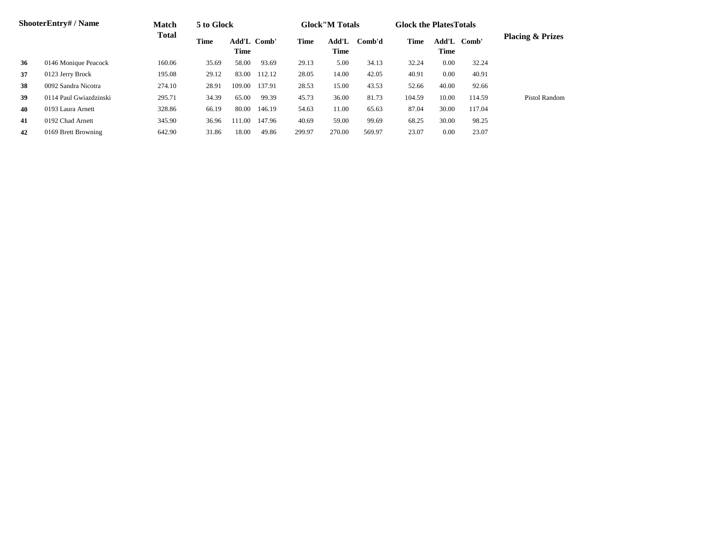|    | <b>ShooterEntry#/Name</b> | <b>Match</b> | 5 to Glock |                     |        |        | <b>Glock</b> "M Totals |        | <b>Glock the PlatesTotals</b> |                            |        |                             |
|----|---------------------------|--------------|------------|---------------------|--------|--------|------------------------|--------|-------------------------------|----------------------------|--------|-----------------------------|
|    |                           | <b>Total</b> | Time       | Add'L Comb'<br>Time |        | Time   | Add'L<br>Time          | Comb'd | Time                          | Add'L Comb'<br><b>Time</b> |        | <b>Placing &amp; Prizes</b> |
| 36 | 0146 Monique Peacock      | 160.06       | 35.69      | 58.00               | 93.69  | 29.13  | 5.00                   | 34.13  | 32.24                         | 0.00                       | 32.24  |                             |
| 37 | 0123 Jerry Brock          | 195.08       | 29.12      | 83.00               | 112.12 | 28.05  | 14.00                  | 42.05  | 40.91                         | 0.00                       | 40.91  |                             |
| 38 | 0092 Sandra Nicotra       | 274.10       | 28.91      | 109.00              | 137.91 | 28.53  | 15.00                  | 43.53  | 52.66                         | 40.00                      | 92.66  |                             |
| 39 | 0114 Paul Gwiazdzinski    | 295.71       | 34.39      | 65.00               | 99.39  | 45.73  | 36.00                  | 81.73  | 104.59                        | 10.00                      | 114.59 | Pistol Random               |
| 40 | 0193 Laura Arnett         | 328.86       | 66.19      | 80.00               | 146.19 | 54.63  | 11.00                  | 65.63  | 87.04                         | 30.00                      | 117.04 |                             |
| 41 | 0192 Chad Arnett          | 345.90       | 36.96      | 111.00              | 147.96 | 40.69  | 59.00                  | 99.69  | 68.25                         | 30.00                      | 98.25  |                             |
| 42 | 0169 Brett Browning       | 642.90       | 31.86      | 18.00               | 49.86  | 299.97 | 270.00                 | 569.97 | 23.07                         | 0.00                       | 23.07  |                             |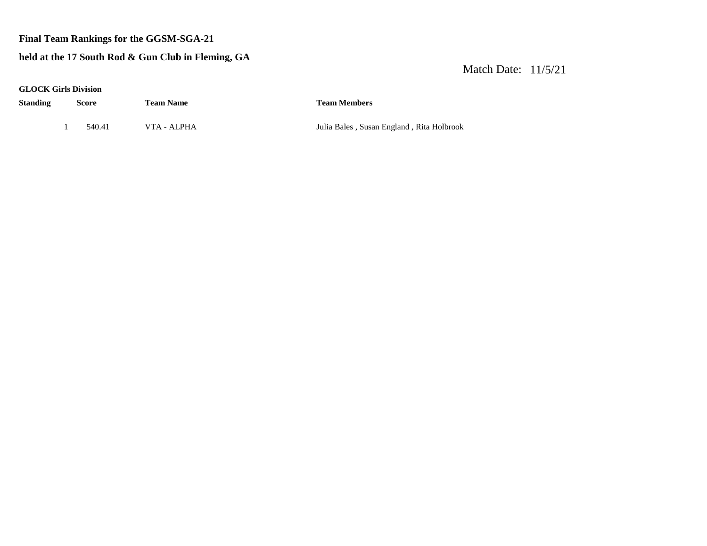### **Final Team Rankings for the GGSM-SGA-21**

### **held at the 17 South Rod & Gun Club in Fleming, GA**

Match Date:  $11/5/21$ 

**GLOCK Girls Division**

| <b>Standing</b> | Score  | <b>Team Name</b> | <b>Team Members</b>                       |
|-----------------|--------|------------------|-------------------------------------------|
|                 | 540.41 | VTA - ALPHA      | Julia Bales, Susan England, Rita Holbrook |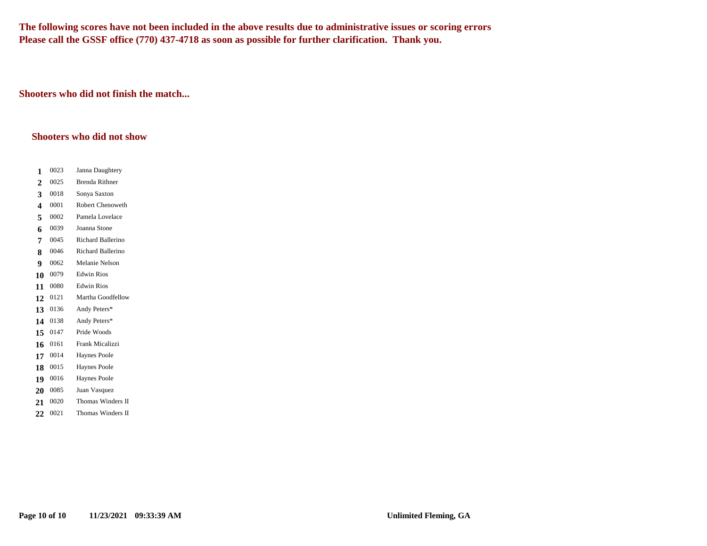**The following scores have not been included in the above results due to administrative issues or scoring errors Please call the GSSF office (770) 437-4718 as soon as possible for further clarification. Thank you.**

**Shooters who did not finish the match...**

#### **Shooters who did not show**

- 0023 1 0023 Janna Daughtery
- 0025 2 0025 Brenda Rithner
- 0018 3 0018 Sonya Saxton
- 0001 4 0001 Robert Chenoweth
- 0002 5 0002 Pamela Lovelace
- 0039 **6** Joanna Stone
- 0045 7 0045 Richard Ballerino
- 0046 8 0046 Richard Ballerino
- 9 0062 **9** Melanie Nelson
- 10 0079 **10** Edwin Rios
- 0080 **11** Edwin Rios
- 12 0121 **12** Martha Goodfellow
- 13 0136 **13** Andy Peters\*
- 14 0138 **14** Andy Peters\*
- 15 0147 Pride Woods
- 16 0161 **16** Frank Micalizzi
- 17 0014 **17** Haynes Poole
- 18 0015 **18** Haynes Poole
- 19 0016 **19** Haynes Poole
- 20 0085 **20** Juan Vasquez
- 21 0020 **21** Thomas Winders II
- **22** 0021 Thomas Winders II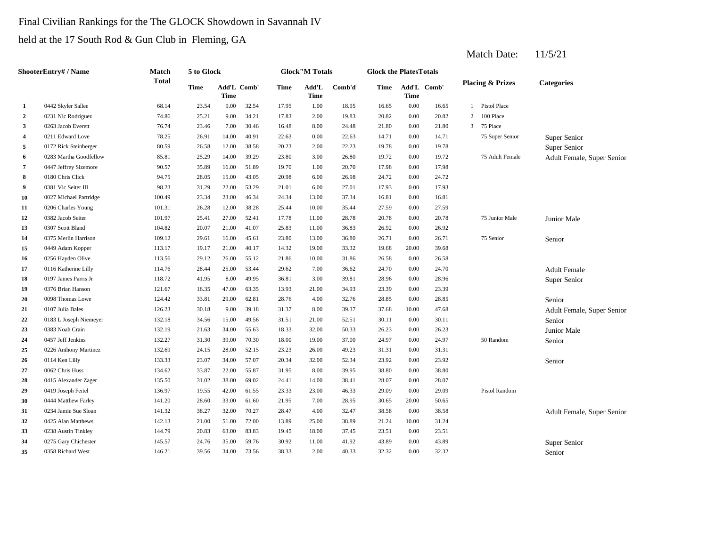## Final Civilian Rankings for the The GLOCK Showdown in Savannah IV

## held at the 17 South Rod & Gun Club in Fleming, GA

|                         | ShooterEntry# / Name   | Match        | 5 to Glock  |             |             |             | <b>Glock</b> "M Totals |        | <b>Glock the PlatesTotals</b> |             |             |                |                             |                            |
|-------------------------|------------------------|--------------|-------------|-------------|-------------|-------------|------------------------|--------|-------------------------------|-------------|-------------|----------------|-----------------------------|----------------------------|
|                         |                        | <b>Total</b> | <b>Time</b> | <b>Time</b> | Add'L Comb' | <b>Time</b> | Add'L<br><b>Time</b>   | Comb'd | Time                          | <b>Time</b> | Add'L Comb' |                | <b>Placing &amp; Prizes</b> | <b>Categories</b>          |
| 1                       | 0442 Skyler Sallee     | 68.14        | 23.54       | 9.00        | 32.54       | 17.95       | 1.00                   | 18.95  | 16.65                         | 0.00        | 16.65       | $\mathbf{1}$   | Pistol Place                |                            |
| 2                       | 0231 Nic Rodriguez     | 74.86        | 25.21       | 9.00        | 34.21       | 17.83       | 2.00                   | 19.83  | 20.82                         | 0.00        | 20.82       | $\overline{2}$ | 100 Place                   |                            |
| $\overline{\mathbf{3}}$ | 0263 Jacob Everett     | 76.74        | 23.46       | 7.00        | 30.46       | 16.48       | 8.00                   | 24.48  | 21.80                         | 0.00        | 21.80       | $\overline{3}$ | 75 Place                    |                            |
| $\overline{\mathbf{4}}$ | 0211 Edward Love       | 78.25        | 26.91       | 14.00       | 40.91       | 22.63       | 0.00                   | 22.63  | 14.71                         | 0.00        | 14.71       |                | 75 Super Senior             | Super Senior               |
| 5                       | 0172 Rick Steinberger  | 80.59        | 26.58       | 12.00       | 38.58       | 20.23       | 2.00                   | 22.23  | 19.78                         | 0.00        | 19.78       |                |                             | Super Senior               |
| 6                       | 0283 Martha Goodfellow | 85.81        | 25.29       | 14.00       | 39.29       | 23.80       | 3.00                   | 26.80  | 19.72                         | 0.00        | 19.72       |                | 75 Adult Female             | Adult Female, Super Senior |
| $\overline{7}$          | 0447 Jeffrey Sizemore  | 90.57        | 35.89       | 16.00       | 51.89       | 19.70       | 1.00                   | 20.70  | 17.98                         | 0.00        | 17.98       |                |                             |                            |
| 8                       | 0180 Chris Click       | 94.75        | 28.05       | 15.00       | 43.05       | 20.98       | 6.00                   | 26.98  | 24.72                         | 0.00        | 24.72       |                |                             |                            |
| -9                      | 0381 Vic Seiter III    | 98.23        | 31.29       | 22.00       | 53.29       | 21.01       | 6.00                   | 27.01  | 17.93                         | 0.00        | 17.93       |                |                             |                            |
| 10                      | 0027 Michael Partridge | 100.49       | 23.34       | 23.00       | 46.34       | 24.34       | 13.00                  | 37.34  | 16.81                         | 0.00        | 16.81       |                |                             |                            |
| 11                      | 0206 Charles Young     | 101.31       | 26.28       | 12.00       | 38.28       | 25.44       | 10.00                  | 35.44  | 27.59                         | 0.00        | 27.59       |                |                             |                            |
| 12                      | 0382 Jacob Seiter      | 101.97       | 25.41       | 27.00       | 52.41       | 17.78       | 11.00                  | 28.78  | 20.78                         | 0.00        | 20.78       |                | 75 Junior Male              | Junior Male                |
| 13                      | 0307 Scott Bland       | 104.82       | 20.07       | 21.00       | 41.07       | 25.83       | 11.00                  | 36.83  | 26.92                         | 0.00        | 26.92       |                |                             |                            |
| 14                      | 0375 Merlin Harrison   | 109.12       | 29.61       | 16.00       | 45.61       | 23.80       | 13.00                  | 36.80  | 26.71                         | 0.00        | 26.71       |                | 75 Senior                   | Senior                     |
| 15                      | 0449 Adam Kopper       | 113.17       | 19.17       | 21.00       | 40.17       | 14.32       | 19.00                  | 33.32  | 19.68                         | 20.00       | 39.68       |                |                             |                            |
| 16                      | 0256 Hayden Olive      | 113.56       | 29.12       | 26.00       | 55.12       | 21.86       | 10.00                  | 31.86  | 26.58                         | 0.00        | 26.58       |                |                             |                            |
| 17                      | 0116 Katherine Lilly   | 114.76       | 28.44       | 25.00       | 53.44       | 29.62       | 7.00                   | 36.62  | 24.70                         | 0.00        | 24.70       |                |                             | <b>Adult Female</b>        |
| 18                      | 0197 James Parris Jr   | 118.72       | 41.95       | 8.00        | 49.95       | 36.81       | 3.00                   | 39.81  | 28.96                         | 0.00        | 28.96       |                |                             | Super Senior               |
| 19                      | 0376 Brian Hanson      | 121.67       | 16.35       | 47.00       | 63.35       | 13.93       | 21.00                  | 34.93  | 23.39                         | 0.00        | 23.39       |                |                             |                            |
| 20                      | 0098 Thomas Lowe       | 124.42       | 33.81       | 29.00       | 62.81       | 28.76       | 4.00                   | 32.76  | 28.85                         | 0.00        | 28.85       |                |                             | Senior                     |
| 21                      | 0107 Julia Bales       | 126.23       | 30.18       | 9.00        | 39.18       | 31.37       | 8.00                   | 39.37  | 37.68                         | 10.00       | 47.68       |                |                             | Adult Female, Super Senior |
| 22                      | 0183 L Joseph Niemeyer | 132.18       | 34.56       | 15.00       | 49.56       | 31.51       | 21.00                  | 52.51  | 30.11                         | 0.00        | 30.11       |                |                             | Senior                     |
| 23                      | 0383 Noah Crain        | 132.19       | 21.63       | 34.00       | 55.63       | 18.33       | 32.00                  | 50.33  | 26.23                         | 0.00        | 26.23       |                |                             | Junior Male                |
| 24                      | 0457 Jeff Jenkins      | 132.27       | 31.30       | 39.00       | 70.30       | 18.00       | 19.00                  | 37.00  | 24.97                         | 0.00        | 24.97       |                | 50 Random                   | Senior                     |
| 25                      | 0226 Anthony Martinez  | 132.69       | 24.15       | 28.00       | 52.15       | 23.23       | 26.00                  | 49.23  | 31.31                         | 0.00        | 31.31       |                |                             |                            |
| 26                      | 0114 Ken Lilly         | 133.33       | 23.07       | 34.00       | 57.07       | 20.34       | 32.00                  | 52.34  | 23.92                         | 0.00        | 23.92       |                |                             | Senior                     |
| 27                      | 0062 Chris Huss        | 134.62       | 33.87       | 22.00       | 55.87       | 31.95       | 8.00                   | 39.95  | 38.80                         | 0.00        | 38.80       |                |                             |                            |
| 28                      | 0415 Alexander Zager   | 135.50       | 31.02       | 38.00       | 69.02       | 24.41       | 14.00                  | 38.41  | 28.07                         | 0.00        | 28.07       |                |                             |                            |
| 29                      | 0419 Joseph Feitel     | 136.97       | 19.55       | 42.00       | 61.55       | 23.33       | 23.00                  | 46.33  | 29.09                         | 0.00        | 29.09       |                | Pistol Random               |                            |
| 30                      | 0444 Matthew Farley    | 141.20       | 28.60       | 33.00       | 61.60       | 21.95       | 7.00                   | 28.95  | 30.65                         | 20.00       | 50.65       |                |                             |                            |
| 31                      | 0234 Jamie Sue Sloan   | 141.32       | 38.27       | 32.00       | 70.27       | 28.47       | 4.00                   | 32.47  | 38.58                         | 0.00        | 38.58       |                |                             | Adult Female, Super Senior |
| 32                      | 0425 Alan Matthews     | 142.13       | 21.00       | 51.00       | 72.00       | 13.89       | 25.00                  | 38.89  | 21.24                         | 10.00       | 31.24       |                |                             |                            |
| 33                      | 0238 Austin Tinkley    | 144.79       | 20.83       | 63.00       | 83.83       | 19.45       | 18.00                  | 37.45  | 23.51                         | 0.00        | 23.51       |                |                             |                            |
| 34                      | 0275 Gary Chichester   | 145.57       | 24.76       | 35.00       | 59.76       | 30.92       | 11.00                  | 41.92  | 43.89                         | 0.00        | 43.89       |                |                             | Super Senior               |
| 35                      | 0358 Richard West      | 146.21       | 39.56       | 34.00       | 73.56       | 38.33       | 2.00                   | 40.33  | 32.32                         | 0.00        | 32.32       |                |                             | Senior                     |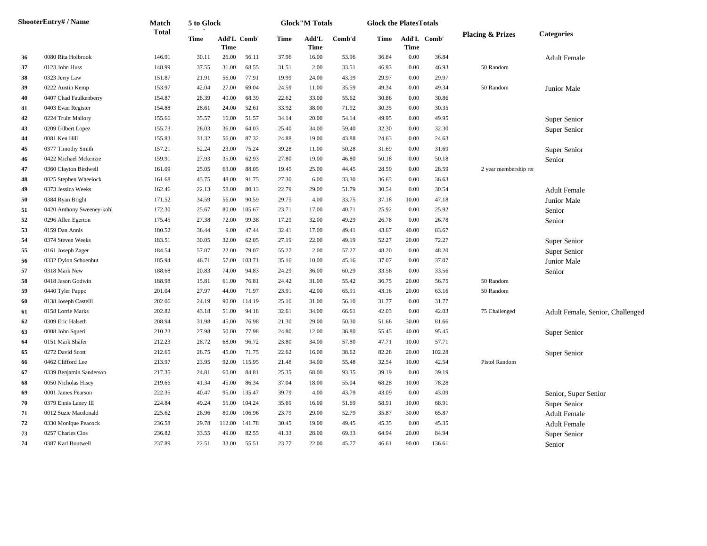|    | <b>ShooterEntry# / Name</b> | <b>Match</b> | 5 to Glock  |                            |        |       | <b>Glock</b> "M Totals |        | <b>Glock the PlatesTotals</b> |             |             |                             |                                  |
|----|-----------------------------|--------------|-------------|----------------------------|--------|-------|------------------------|--------|-------------------------------|-------------|-------------|-----------------------------|----------------------------------|
|    |                             | <b>Total</b> | <b>Time</b> | Add'L Comb'<br><b>Time</b> |        | Time  | Add'L<br><b>Time</b>   | Comb'd | Time                          | <b>Time</b> | Add'L Comb' | <b>Placing &amp; Prizes</b> | <b>Categories</b>                |
| 36 | 0080 Rita Holbrook          | 146.91       | 30.11       | 26.00                      | 56.11  | 37.96 | 16.00                  | 53.96  | 36.84                         | 0.00        | 36.84       |                             | <b>Adult Female</b>              |
| 37 | 0123 John Huss              | 148.99       | 37.55       | 31.00                      | 68.55  | 31.51 | 2.00                   | 33.51  | 46.93                         | 0.00        | 46.93       | 50 Random                   |                                  |
| 38 | 0323 Jerry Law              | 151.87       | 21.91       | 56.00                      | 77.91  | 19.99 | 24.00                  | 43.99  | 29.97                         | 0.00        | 29.97       |                             |                                  |
| 39 | 0222 Austin Kemp            | 153.97       | 42.04       | 27.00                      | 69.04  | 24.59 | 11.00                  | 35.59  | 49.34                         | 0.00        | 49.34       | 50 Random                   | Junior Male                      |
| 40 | 0407 Chad Faulkenberry      | 154.87       | 28.39       | 40.00                      | 68.39  | 22.62 | 33.00                  | 55.62  | 30.86                         | 0.00        | 30.86       |                             |                                  |
| 41 | 0403 Evan Register          | 154.88       | 28.61       | 24.00                      | 52.61  | 33.92 | 38.00                  | 71.92  | 30.35                         | 0.00        | 30.35       |                             |                                  |
| 42 | 0224 Truitt Mallory         | 155.66       | 35.57       | 16.00                      | 51.57  | 34.14 | 20.00                  | 54.14  | 49.95                         | 0.00        | 49.95       |                             | Super Senior                     |
| 43 | 0209 Gilbert Lopez          | 155.73       | 28.03       | 36.00                      | 64.03  | 25.40 | 34.00                  | 59.40  | 32.30                         | 0.00        | 32.30       |                             | Super Senior                     |
| 44 | 0081 Ken Hill               | 155.83       | 31.32       | 56.00                      | 87.32  | 24.88 | 19.00                  | 43.88  | 24.63                         | 0.00        | 24.63       |                             |                                  |
| 45 | 0377 Timothy Smith          | 157.21       | 52.24       | 23.00                      | 75.24  | 39.28 | 11.00                  | 50.28  | 31.69                         | 0.00        | 31.69       |                             | Super Senior                     |
| 46 | 0422 Michael Mckenzie       | 159.91       | 27.93       | 35.00                      | 62.93  | 27.80 | 19.00                  | 46.80  | 50.18                         | 0.00        | 50.18       |                             | Senior                           |
| 47 | 0360 Clayton Birdwell       | 161.09       | 25.05       | 63.00                      | 88.05  | 19.45 | 25.00                  | 44.45  | 28.59                         | 0.00        | 28.59       | 2 year membership rei       |                                  |
| 48 | 0025 Stephen Wheelock       | 161.68       | 43.75       | 48.00                      | 91.75  | 27.30 | 6.00                   | 33.30  | 36.63                         | 0.00        | 36.63       |                             |                                  |
| 49 | 0373 Jessica Weeks          | 162.46       | 22.13       | 58.00                      | 80.13  | 22.79 | 29.00                  | 51.79  | 30.54                         | 0.00        | 30.54       |                             | <b>Adult Female</b>              |
| 50 | 0384 Ryan Bright            | 171.52       | 34.59       | 56.00                      | 90.59  | 29.75 | 4.00                   | 33.75  | 37.18                         | 10.00       | 47.18       |                             | Junior Male                      |
| 51 | 0420 Anthony Sweeney-kohl   | 172.30       | 25.67       | 80.00                      | 105.67 | 23.71 | 17.00                  | 40.71  | 25.92                         | 0.00        | 25.92       |                             | Senior                           |
| 52 | 0296 Allen Egerton          | 175.45       | 27.38       | 72.00                      | 99.38  | 17.29 | 32.00                  | 49.29  | 26.78                         | 0.00        | 26.78       |                             | Senior                           |
| 53 | 0159 Dan Annis              | 180.52       | 38.44       | 9.00                       | 47.44  | 32.41 | 17.00                  | 49.41  | 43.67                         | 40.00       | 83.67       |                             |                                  |
| 54 | 0374 Steven Weeks           | 183.51       | 30.05       | 32.00                      | 62.05  | 27.19 | 22.00                  | 49.19  | 52.27                         | 20.00       | 72.27       |                             | Super Senior                     |
| 55 | 0161 Joseph Zager           | 184.54       | 57.07       | 22.00                      | 79.07  | 55.27 | 2.00                   | 57.27  | 48.20                         | 0.00        | 48.20       |                             | Super Senior                     |
| 56 | 0332 Dylon Schoenhut        | 185.94       | 46.71       | 57.00                      | 103.71 | 35.16 | 10.00                  | 45.16  | 37.07                         | 0.00        | 37.07       |                             | Junior Male                      |
| 57 | 0318 Mark New               | 188.68       | 20.83       | 74.00                      | 94.83  | 24.29 | 36.00                  | 60.29  | 33.56                         | 0.00        | 33.56       |                             | Senior                           |
| 58 | 0418 Jason Godwin           | 188.98       | 15.81       | 61.00                      | 76.81  | 24.42 | 31.00                  | 55.42  | 36.75                         | 20.00       | 56.75       | 50 Random                   |                                  |
| 59 | 0440 Tyler Pappo            | 201.04       | 27.97       | 44.00                      | 71.97  | 23.91 | 42.00                  | 65.91  | 43.16                         | 20.00       | 63.16       | 50 Random                   |                                  |
| 60 | 0138 Joseph Castelli        | 202.06       | 24.19       | 90.00                      | 114.19 | 25.10 | 31.00                  | 56.10  | 31.77                         | 0.00        | 31.77       |                             |                                  |
| 61 | 0158 Lorrie Marks           | 202.82       | 43.18       | 51.00                      | 94.18  | 32.61 | 34.00                  | 66.61  | 42.03                         | 0.00        | 42.03       | 75 Challenged               | Adult Female, Senior, Challenged |
| 62 | 0309 Eric Halseth           | 208.94       | 31.98       | 45.00                      | 76.98  | 21.30 | 29.00                  | 50.30  | 51.66                         | 30.00       | 81.66       |                             |                                  |
| 63 | 0008 John Squeri            | 210.23       | 27.98       | 50.00                      | 77.98  | 24.80 | 12.00                  | 36.80  | 55.45                         | 40.00       | 95.45       |                             | Super Senior                     |
| 64 | 0151 Mark Shafer            | 212.23       | 28.72       | 68.00                      | 96.72  | 23.80 | 34.00                  | 57.80  | 47.71                         | 10.00       | 57.71       |                             |                                  |
| 65 | 0272 David Scott            | 212.65       | 26.75       | 45.00                      | 71.75  | 22.62 | 16.00                  | 38.62  | 82.28                         | 20.00       | 102.28      |                             | Super Senior                     |
| 66 | 0462 Clifford Lee           | 213.97       | 23.95       | 92.00                      | 115.95 | 21.48 | 34.00                  | 55.48  | 32.54                         | 10.00       | 42.54       | <b>Pistol Random</b>        |                                  |
| 67 | 0339 Benjamin Sanderson     | 217.35       | 24.81       | 60.00                      | 84.81  | 25.35 | 68.00                  | 93.35  | 39.19                         | 0.00        | 39.19       |                             |                                  |
| 68 | 0050 Nicholas Hisey         | 219.66       | 41.34       | 45.00                      | 86.34  | 37.04 | 18.00                  | 55.04  | 68.28                         | 10.00       | 78.28       |                             |                                  |
| 69 | 0001 James Pearson          | 222.35       | 40.47       | 95.00                      | 135.47 | 39.79 | 4.00                   | 43.79  | 43.09                         | 0.00        | 43.09       |                             | Senior, Super Senior             |
| 70 | 0379 Ennis Laney III        | 224.84       | 49.24       | 55.00                      | 104.24 | 35.69 | 16.00                  | 51.69  | 58.91                         | 10.00       | 68.91       |                             | Super Senior                     |
| 71 | 0012 Suzie Macdonald        | 225.62       | 26.96       | 80.00                      | 106.96 | 23.79 | 29.00                  | 52.79  | 35.87                         | 30.00       | 65.87       |                             | <b>Adult Female</b>              |
| 72 | 0330 Monique Peacock        | 236.58       | 29.78       | 112.00                     | 141.78 | 30.45 | 19.00                  | 49.45  | 45.35                         | 0.00        | 45.35       |                             | <b>Adult Female</b>              |
| 73 | 0257 Charles Clos           | 236.82       | 33.55       | 49.00                      | 82.55  | 41.33 | 28.00                  | 69.33  | 64.94                         | 20.00       | 84.94       |                             | Super Senior                     |
| 74 | 0387 Karl Boutwell          | 237.89       | 22.51       | 33.00                      | 55.51  | 23.77 | 22.00                  | 45.77  | 46.61                         | 90.00       | 136.61      |                             | Senior                           |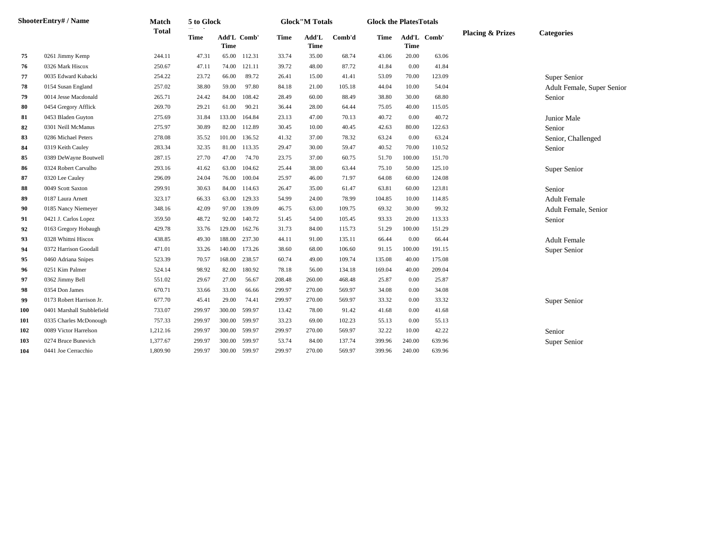|     | <b>ShooterEntry#/Name</b>  | Match        | 5 to Glock  |                            |        |             | <b>Glock</b> "M Totals |        | <b>Glock the PlatesTotals</b> |                            |        |                             |                            |
|-----|----------------------------|--------------|-------------|----------------------------|--------|-------------|------------------------|--------|-------------------------------|----------------------------|--------|-----------------------------|----------------------------|
|     |                            | <b>Total</b> | <b>Time</b> | Add'L Comb'<br><b>Time</b> |        | <b>Time</b> | Add'L<br>Time          | Comb'd | <b>Time</b>                   | Add'L Comb'<br><b>Time</b> |        | <b>Placing &amp; Prizes</b> | <b>Categories</b>          |
| 75  | 0261 Jimmy Kemp            | 244.11       | 47.31       | 65.00                      | 112.31 | 33.74       | 35.00                  | 68.74  | 43.06                         | 20.00                      | 63.06  |                             |                            |
| 76  | 0326 Mark Hiscox           | 250.67       | 47.11       | 74.00                      | 121.11 | 39.72       | 48.00                  | 87.72  | 41.84                         | 0.00                       | 41.84  |                             |                            |
| 77  | 0035 Edward Kubacki        | 254.22       | 23.72       | 66.00                      | 89.72  | 26.41       | 15.00                  | 41.41  | 53.09                         | 70.00                      | 123.09 |                             | Super Senior               |
| 78  | 0154 Susan England         | 257.02       | 38.80       | 59.00                      | 97.80  | 84.18       | 21.00                  | 105.18 | 44.04                         | 10.00                      | 54.04  |                             | Adult Female, Super Senior |
| 79  | 0014 Jesse Macdonald       | 265.71       | 24.42       | 84.00                      | 108.42 | 28.49       | 60.00                  | 88.49  | 38.80                         | 30.00                      | 68.80  |                             | Senior                     |
| 80  | 0454 Gregory Afflick       | 269.70       | 29.21       | 61.00                      | 90.21  | 36.44       | 28.00                  | 64.44  | 75.05                         | 40.00                      | 115.05 |                             |                            |
| 81  | 0453 Bladen Guyton         | 275.69       | 31.84       | 133.00                     | 164.84 | 23.13       | 47.00                  | 70.13  | 40.72                         | 0.00                       | 40.72  |                             | Junior Male                |
| 82  | 0301 Neill McManus         | 275.97       | 30.89       | 82.00                      | 112.89 | 30.45       | 10.00                  | 40.45  | 42.63                         | 80.00                      | 122.63 |                             | Senior                     |
| 83  | 0286 Michael Peters        | 278.08       | 35.52       | 101.00                     | 136.52 | 41.32       | 37.00                  | 78.32  | 63.24                         | 0.00                       | 63.24  |                             | Senior, Challenged         |
| 84  | 0319 Keith Cauley          | 283.34       | 32.35       | 81.00                      | 113.35 | 29.47       | 30.00                  | 59.47  | 40.52                         | 70.00                      | 110.52 |                             | Senior                     |
| 85  | 0389 DeWayne Boutwell      | 287.15       | 27.70       | 47.00                      | 74.70  | 23.75       | 37.00                  | 60.75  | 51.70                         | 100.00                     | 151.70 |                             |                            |
| 86  | 0324 Robert Carvalho       | 293.16       | 41.62       | 63.00                      | 104.62 | 25.44       | 38.00                  | 63.44  | 75.10                         | 50.00                      | 125.10 |                             | Super Senior               |
| 87  | 0320 Lee Cauley            | 296.09       | 24.04       | 76.00                      | 100.04 | 25.97       | 46.00                  | 71.97  | 64.08                         | 60.00                      | 124.08 |                             |                            |
| 88  | 0049 Scott Saxton          | 299.91       | 30.63       | 84.00                      | 114.63 | 26.47       | 35.00                  | 61.47  | 63.81                         | 60.00                      | 123.81 |                             | Senior                     |
| 89  | 0187 Laura Arnett          | 323.17       | 66.33       | 63.00                      | 129.33 | 54.99       | 24.00                  | 78.99  | 104.85                        | 10.00                      | 114.85 |                             | <b>Adult Female</b>        |
| 90  | 0185 Nancy Niemeyer        | 348.16       | 42.09       | 97.00                      | 139.09 | 46.75       | 63.00                  | 109.75 | 69.32                         | 30.00                      | 99.32  |                             | Adult Female, Senior       |
| 91  | 0421 J. Carlos Lopez       | 359.50       | 48.72       | 92.00                      | 140.72 | 51.45       | 54.00                  | 105.45 | 93.33                         | 20.00                      | 113.33 |                             | Senior                     |
| 92  | 0163 Gregory Hobaugh       | 429.78       | 33.76       | 129.00                     | 162.76 | 31.73       | 84.00                  | 115.73 | 51.29                         | 100.00                     | 151.29 |                             |                            |
| 93  | 0328 Whittni Hiscox        | 438.85       | 49.30       | 188.00                     | 237.30 | 44.11       | 91.00                  | 135.11 | 66.44                         | 0.00                       | 66.44  |                             | <b>Adult Female</b>        |
| 94  | 0372 Harrison Goodall      | 471.01       | 33.26       | 140.00 173.26              |        | 38.60       | 68.00                  | 106.60 | 91.15                         | 100.00                     | 191.15 |                             | Super Senior               |
| 95  | 0460 Adriana Snipes        | 523.39       | 70.57       | 168.00                     | 238.57 | 60.74       | 49.00                  | 109.74 | 135.08                        | 40.00                      | 175.08 |                             |                            |
| 96  | 0251 Kim Palmer            | 524.14       | 98.92       | 82.00                      | 180.92 | 78.18       | 56.00                  | 134.18 | 169.04                        | 40.00                      | 209.04 |                             |                            |
| 97  | 0362 Jimmy Bell            | 551.02       | 29.67       | 27.00                      | 56.67  | 208.48      | 260.00                 | 468.48 | 25.87                         | 0.00                       | 25.87  |                             |                            |
| 98  | 0354 Don James             | 670.71       | 33.66       | 33.00                      | 66.66  | 299.97      | 270.00                 | 569.97 | 34.08                         | 0.00                       | 34.08  |                             |                            |
| 99  | 0173 Robert Harrison Jr.   | 677.70       | 45.41       | 29.00                      | 74.41  | 299.97      | 270.00                 | 569.97 | 33.32                         | 0.00                       | 33.32  |                             | Super Senior               |
| 100 | 0401 Marshall Stubblefield | 733.07       | 299.97      | 300.00                     | 599.97 | 13.42       | 78.00                  | 91.42  | 41.68                         | 0.00                       | 41.68  |                             |                            |
| 101 | 0335 Charles McDonough     | 757.33       | 299.97      | 300.00                     | 599.97 | 33.23       | 69.00                  | 102.23 | 55.13                         | 0.00                       | 55.13  |                             |                            |
| 102 | 0089 Victor Harrelson      | 1,212.16     | 299.97      | 300.00 599.97              |        | 299.97      | 270.00                 | 569.97 | 32.22                         | 10.00                      | 42.22  |                             | Senior                     |
| 103 | 0274 Bruce Bunevich        | 1,377.67     | 299.97      | 300.00                     | 599.97 | 53.74       | 84.00                  | 137.74 | 399.96                        | 240.00                     | 639.96 |                             | Super Senior               |
| 104 | 0441 Joe Cerracchio        | 1,809.90     | 299.97      | 300.00                     | 599.97 | 299.97      | 270.00                 | 569.97 | 399.96                        | 240.00                     | 639.96 |                             |                            |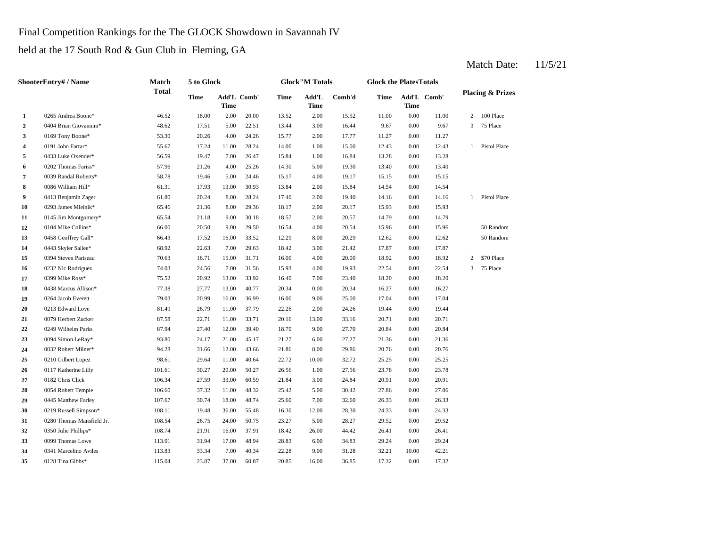Final Competition Rankings for the The GLOCK Showdown in Savannah IV

held at the 17 South Rod & Gun Club in Fleming, GA

|    | ShooterEntry# / Name      | Match        | 5 to Glock  |       |             |       | <b>Glock</b> "M Totals |        | <b>Glock the PlatesTotals</b> |                            |       |                |                             |
|----|---------------------------|--------------|-------------|-------|-------------|-------|------------------------|--------|-------------------------------|----------------------------|-------|----------------|-----------------------------|
|    |                           | <b>Total</b> | <b>Time</b> | Time  | Add'L Comb' | Time  | Add'L<br>Time          | Comb'd | Time                          | Add'L Comb'<br><b>Time</b> |       |                | <b>Placing &amp; Prizes</b> |
| 1  | 0265 Andrea Boone*        | 46.52        | 18.00       | 2.00  | 20.00       | 13.52 | 2.00                   | 15.52  | 11.00                         | 0.00                       | 11.00 | $\overline{c}$ | 100 Place                   |
| 2  | 0404 Brian Giovannini*    | 48.62        | 17.51       | 5.00  | 22.51       | 13.44 | 3.00                   | 16.44  | 9.67                          | 0.00                       | 9.67  | 3              | 75 Place                    |
| 3  | 0169 Tony Boone*          | 53.30        | 20.26       | 4.00  | 24.26       | 15.77 | 2.00                   | 17.77  | 11.27                         | 0.00                       | 11.27 |                |                             |
| 4  | 0191 John Farrar*         | 55.67        | 17.24       | 11.00 | 28.24       | 14.00 | 1.00                   | 15.00  | 12.43                         | 0.00                       | 12.43 |                | 1 Pistol Place              |
| 5  | 0433 Luke Oxender*        | 56.59        | 19.47       | 7.00  | 26.47       | 15.84 | 1.00                   | 16.84  | 13.28                         | 0.00                       | 13.28 |                |                             |
| 6  | 0202 Thomas Fariss*       | 57.96        | 21.26       | 4.00  | 25.26       | 14.30 | 5.00                   | 19.30  | 13.40                         | 0.00                       | 13.40 |                |                             |
| 7  | 0039 Randal Roberts*      | 58.78        | 19.46       | 5.00  | 24.46       | 15.17 | 4.00                   | 19.17  | 15.15                         | 0.00                       | 15.15 |                |                             |
| 8  | 0086 William Hill*        | 61.31        | 17.93       | 13.00 | 30.93       | 13.84 | 2.00                   | 15.84  | 14.54                         | 0.00                       | 14.54 |                |                             |
| 9  | 0413 Benjamin Zager       | 61.80        | 20.24       | 8.00  | 28.24       | 17.40 | 2.00                   | 19.40  | 14.16                         | 0.00                       | 14.16 |                | 1 Pistol Place              |
| 10 | 0293 James Mielnik*       | 65.46        | 21.36       | 8.00  | 29.36       | 18.17 | 2.00                   | 20.17  | 15.93                         | 0.00                       | 15.93 |                |                             |
| 11 | 0145 Jim Montgomery*      | 65.54        | 21.18       | 9.00  | 30.18       | 18.57 | 2.00                   | 20.57  | 14.79                         | 0.00                       | 14.79 |                |                             |
| 12 | 0104 Mike Collins*        | 66.00        | 20.50       | 9.00  | 29.50       | 16.54 | 4.00                   | 20.54  | 15.96                         | 0.00                       | 15.96 |                | 50 Random                   |
| 13 | 0458 Geoffrey Gall*       | 66.43        | 17.52       | 16.00 | 33.52       | 12.29 | 8.00                   | 20.29  | 12.62                         | 0.00                       | 12.62 |                | 50 Random                   |
| 14 | 0443 Skyler Sallee*       | 68.92        | 22.63       | 7.00  | 29.63       | 18.42 | 3.00                   | 21.42  | 17.87                         | 0.00                       | 17.87 |                |                             |
| 15 | 0394 Steven Pariseau      | 70.63        | 16.71       | 15.00 | 31.71       | 16.00 | 4.00                   | 20.00  | 18.92                         | 0.00                       | 18.92 | 2              | \$70 Place                  |
| 16 | 0232 Nic Rodriguez        | 74.03        | 24.56       | 7.00  | 31.56       | 15.93 | 4.00                   | 19.93  | 22.54                         | 0.00                       | 22.54 | 3              | 75 Place                    |
| 17 | 0399 Mike Ross*           | 75.52        | 20.92       | 13.00 | 33.92       | 16.40 | 7.00                   | 23.40  | 18.20                         | 0.00                       | 18.20 |                |                             |
| 18 | 0438 Marcus Allison*      | 77.38        | 27.77       | 13.00 | 40.77       | 20.34 | 0.00                   | 20.34  | 16.27                         | 0.00                       | 16.27 |                |                             |
| 19 | 0264 Jacob Everett        | 79.03        | 20.99       | 16.00 | 36.99       | 16.00 | 9.00                   | 25.00  | 17.04                         | 0.00                       | 17.04 |                |                             |
| 20 | 0213 Edward Love          | 81.49        | 26.79       | 11.00 | 37.79       | 22.26 | 2.00                   | 24.26  | 19.44                         | 0.00                       | 19.44 |                |                             |
| 21 | 0079 Herbert Zucker       | 87.58        | 22.71       | 11.00 | 33.71       | 20.16 | 13.00                  | 33.16  | 20.71                         | 0.00                       | 20.71 |                |                             |
| 22 | 0249 Wilhelm Parks        | 87.94        | 27.40       | 12.00 | 39.40       | 18.70 | 9.00                   | 27.70  | 20.84                         | 0.00                       | 20.84 |                |                             |
| 23 | 0094 Simon LeRay*         | 93.80        | 24.17       | 21.00 | 45.17       | 21.27 | 6.00                   | 27.27  | 21.36                         | 0.00                       | 21.36 |                |                             |
| 24 | 0032 Robert Milner*       | 94.28        | 31.66       | 12.00 | 43.66       | 21.86 | 8.00                   | 29.86  | 20.76                         | 0.00                       | 20.76 |                |                             |
| 25 | 0210 Gilbert Lopez        | 98.61        | 29.64       | 11.00 | 40.64       | 22.72 | 10.00                  | 32.72  | 25.25                         | 0.00                       | 25.25 |                |                             |
| 26 | 0117 Katherine Lilly      | 101.61       | 30.27       | 20.00 | 50.27       | 26.56 | 1.00                   | 27.56  | 23.78                         | 0.00                       | 23.78 |                |                             |
| 27 | 0182 Chris Click          | 106.34       | 27.59       | 33.00 | 60.59       | 21.84 | 3.00                   | 24.84  | 20.91                         | 0.00                       | 20.91 |                |                             |
| 28 | 0054 Robert Temple        | 106.60       | 37.32       | 11.00 | 48.32       | 25.42 | 5.00                   | 30.42  | 27.86                         | 0.00                       | 27.86 |                |                             |
| 29 | 0445 Matthew Farley       | 107.67       | 30.74       | 18.00 | 48.74       | 25.60 | 7.00                   | 32.60  | 26.33                         | 0.00                       | 26.33 |                |                             |
| 30 | 0219 Russell Simpson*     | 108.11       | 19.48       | 36.00 | 55.48       | 16.30 | 12.00                  | 28.30  | 24.33                         | 0.00                       | 24.33 |                |                             |
| 31 | 0280 Thomas Mansfield Jr. | 108.54       | 26.75       | 24.00 | 50.75       | 23.27 | 5.00                   | 28.27  | 29.52                         | 0.00                       | 29.52 |                |                             |
| 32 | 0350 Julie Phillips*      | 108.74       | 21.91       | 16.00 | 37.91       | 18.42 | 26.00                  | 44.42  | 26.41                         | 0.00                       | 26.41 |                |                             |
| 33 | 0099 Thomas Lowe          | 113.01       | 31.94       | 17.00 | 48.94       | 28.83 | 6.00                   | 34.83  | 29.24                         | 0.00                       | 29.24 |                |                             |
| 34 | 0341 Marcelino Aviles     | 113.83       | 33.34       | 7.00  | 40.34       | 22.28 | 9.00                   | 31.28  | 32.21                         | 10.00                      | 42.21 |                |                             |
| 35 | 0128 Tina Gibbs*          | 115.04       | 23.87       | 37.00 | 60.87       | 20.85 | 16.00                  | 36.85  | 17.32                         | 0.00                       | 17.32 |                |                             |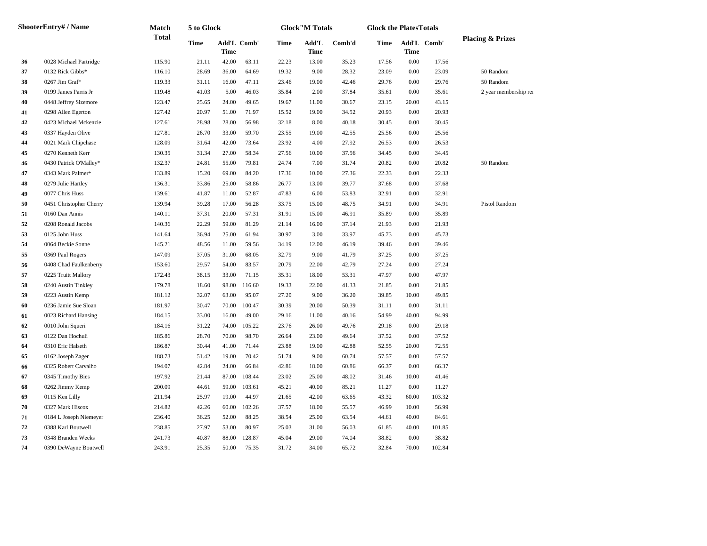|    | ShooterEntry# / Name    | <b>Match</b> | 5 to Glock |                            |        |             | <b>Glock</b> "M Totals |        | <b>Glock the PlatesTotals</b> |             |             |                             |
|----|-------------------------|--------------|------------|----------------------------|--------|-------------|------------------------|--------|-------------------------------|-------------|-------------|-----------------------------|
|    |                         | <b>Total</b> | Time       | Add'L Comb'<br><b>Time</b> |        | <b>Time</b> | Add'L<br><b>Time</b>   | Comb'd | <b>Time</b>                   | <b>Time</b> | Add'L Comb' | <b>Placing &amp; Prizes</b> |
| 36 | 0028 Michael Partridge  | 115.90       | 21.11      | 42.00                      | 63.11  | 22.23       | 13.00                  | 35.23  | 17.56                         | 0.00        | 17.56       |                             |
| 37 | 0132 Rick Gibbs*        | 116.10       | 28.69      | 36.00                      | 64.69  | 19.32       | 9.00                   | 28.32  | 23.09                         | 0.00        | 23.09       | 50 Random                   |
| 38 | 0267 Jim Graf*          | 119.33       | 31.11      | 16.00                      | 47.11  | 23.46       | 19.00                  | 42.46  | 29.76                         | 0.00        | 29.76       | 50 Random                   |
| 39 | 0199 James Parris Jr    | 119.48       | 41.03      | 5.00                       | 46.03  | 35.84       | 2.00                   | 37.84  | 35.61                         | 0.00        | 35.61       | 2 year membership rei       |
| 40 | 0448 Jeffrey Sizemore   | 123.47       | 25.65      | 24.00                      | 49.65  | 19.67       | 11.00                  | 30.67  | 23.15                         | 20.00       | 43.15       |                             |
| 41 | 0298 Allen Egerton      | 127.42       | 20.97      | 51.00                      | 71.97  | 15.52       | 19.00                  | 34.52  | 20.93                         | 0.00        | 20.93       |                             |
| 42 | 0423 Michael Mckenzie   | 127.61       | 28.98      | 28.00                      | 56.98  | 32.18       | 8.00                   | 40.18  | 30.45                         | 0.00        | 30.45       |                             |
| 43 | 0337 Hayden Olive       | 127.81       | 26.70      | 33.00                      | 59.70  | 23.55       | 19.00                  | 42.55  | 25.56                         | 0.00        | 25.56       |                             |
| 44 | 0021 Mark Chipchase     | 128.09       | 31.64      | 42.00                      | 73.64  | 23.92       | 4.00                   | 27.92  | 26.53                         | 0.00        | 26.53       |                             |
| 45 | 0270 Kenneth Kerr       | 130.35       | 31.34      | 27.00                      | 58.34  | 27.56       | 10.00                  | 37.56  | 34.45                         | 0.00        | 34.45       |                             |
| 46 | 0430 Patrick O'Malley*  | 132.37       | 24.81      | 55.00                      | 79.81  | 24.74       | 7.00                   | 31.74  | 20.82                         | 0.00        | 20.82       | 50 Random                   |
| 47 | 0343 Mark Palmer*       | 133.89       | 15.20      | 69.00                      | 84.20  | 17.36       | 10.00                  | 27.36  | 22.33                         | 0.00        | 22.33       |                             |
| 48 | 0279 Julie Hartley      | 136.31       | 33.86      | 25.00                      | 58.86  | 26.77       | 13.00                  | 39.77  | 37.68                         | 0.00        | 37.68       |                             |
| 49 | 0077 Chris Huss         | 139.61       | 41.87      | 11.00                      | 52.87  | 47.83       | 6.00                   | 53.83  | 32.91                         | 0.00        | 32.91       |                             |
| 50 | 0451 Christopher Cherry | 139.94       | 39.28      | 17.00                      | 56.28  | 33.75       | 15.00                  | 48.75  | 34.91                         | 0.00        | 34.91       | <b>Pistol Random</b>        |
| 51 | 0160 Dan Annis          | 140.11       | 37.31      | 20.00                      | 57.31  | 31.91       | 15.00                  | 46.91  | 35.89                         | 0.00        | 35.89       |                             |
| 52 | 0208 Ronald Jacobs      | 140.36       | 22.29      | 59.00                      | 81.29  | 21.14       | 16.00                  | 37.14  | 21.93                         | 0.00        | 21.93       |                             |
| 53 | 0125 John Huss          | 141.64       | 36.94      | 25.00                      | 61.94  | 30.97       | 3.00                   | 33.97  | 45.73                         | 0.00        | 45.73       |                             |
| 54 | 0064 Beckie Sonne       | 145.21       | 48.56      | 11.00                      | 59.56  | 34.19       | 12.00                  | 46.19  | 39.46                         | 0.00        | 39.46       |                             |
| 55 | 0369 Paul Rogers        | 147.09       | 37.05      | 31.00                      | 68.05  | 32.79       | 9.00                   | 41.79  | 37.25                         | 0.00        | 37.25       |                             |
| 56 | 0408 Chad Faulkenberry  | 153.60       | 29.57      | 54.00                      | 83.57  | 20.79       | 22.00                  | 42.79  | 27.24                         | 0.00        | 27.24       |                             |
| 57 | 0225 Truitt Mallory     | 172.43       | 38.15      | 33.00                      | 71.15  | 35.31       | 18.00                  | 53.31  | 47.97                         | 0.00        | 47.97       |                             |
| 58 | 0240 Austin Tinkley     | 179.78       | 18.60      | 98.00                      | 116.60 | 19.33       | 22.00                  | 41.33  | 21.85                         | 0.00        | 21.85       |                             |
| 59 | 0223 Austin Kemp        | 181.12       | 32.07      | 63.00                      | 95.07  | 27.20       | 9.00                   | 36.20  | 39.85                         | 10.00       | 49.85       |                             |
| 60 | 0236 Jamie Sue Sloan    | 181.97       | 30.47      | 70.00                      | 100.47 | 30.39       | 20.00                  | 50.39  | 31.11                         | 0.00        | 31.11       |                             |
| 61 | 0023 Richard Hansing    | 184.15       | 33.00      | 16.00                      | 49.00  | 29.16       | 11.00                  | 40.16  | 54.99                         | 40.00       | 94.99       |                             |
| 62 | 0010 John Squeri        | 184.16       | 31.22      | 74.00                      | 105.22 | 23.76       | 26.00                  | 49.76  | 29.18                         | 0.00        | 29.18       |                             |
| 63 | 0122 Dan Hochuli        | 185.86       | 28.70      | 70.00                      | 98.70  | 26.64       | 23.00                  | 49.64  | 37.52                         | 0.00        | 37.52       |                             |
| 64 | 0310 Eric Halseth       | 186.87       | 30.44      | 41.00                      | 71.44  | 23.88       | 19.00                  | 42.88  | 52.55                         | 20.00       | 72.55       |                             |
| 65 | 0162 Joseph Zager       | 188.73       | 51.42      | 19.00                      | 70.42  | 51.74       | 9.00                   | 60.74  | 57.57                         | 0.00        | 57.57       |                             |
| 66 | 0325 Robert Carvalho    | 194.07       | 42.84      | 24.00                      | 66.84  | 42.86       | 18.00                  | 60.86  | 66.37                         | 0.00        | 66.37       |                             |
| 67 | 0345 Timothy Bies       | 197.92       | 21.44      | 87.00                      | 108.44 | 23.02       | 25.00                  | 48.02  | 31.46                         | 10.00       | 41.46       |                             |
| 68 | 0262 Jimmy Kemp         | 200.09       | 44.61      | 59.00                      | 103.61 | 45.21       | 40.00                  | 85.21  | 11.27                         | 0.00        | 11.27       |                             |
| 69 | 0115 Ken Lilly          | 211.94       | 25.97      | 19.00                      | 44.97  | 21.65       | 42.00                  | 63.65  | 43.32                         | 60.00       | 103.32      |                             |
| 70 | 0327 Mark Hiscox        | 214.82       | 42.26      | 60.00                      | 102.26 | 37.57       | 18.00                  | 55.57  | 46.99                         | 10.00       | 56.99       |                             |
| 71 | 0184 L Joseph Niemeyer  | 236.40       | 36.25      | 52.00                      | 88.25  | 38.54       | 25.00                  | 63.54  | 44.61                         | 40.00       | 84.61       |                             |
| 72 | 0388 Karl Boutwell      | 238.85       | 27.97      | 53.00                      | 80.97  | 25.03       | 31.00                  | 56.03  | 61.85                         | 40.00       | 101.85      |                             |
| 73 | 0348 Branden Weeks      | 241.73       | 40.87      | 88.00                      | 128.87 | 45.04       | 29.00                  | 74.04  | 38.82                         | 0.00        | 38.82       |                             |
| 74 | 0390 DeWayne Boutwell   | 243.91       | 25.35      | 50.00                      | 75.35  | 31.72       | 34.00                  | 65.72  | 32.84                         | 70.00       | 102.84      |                             |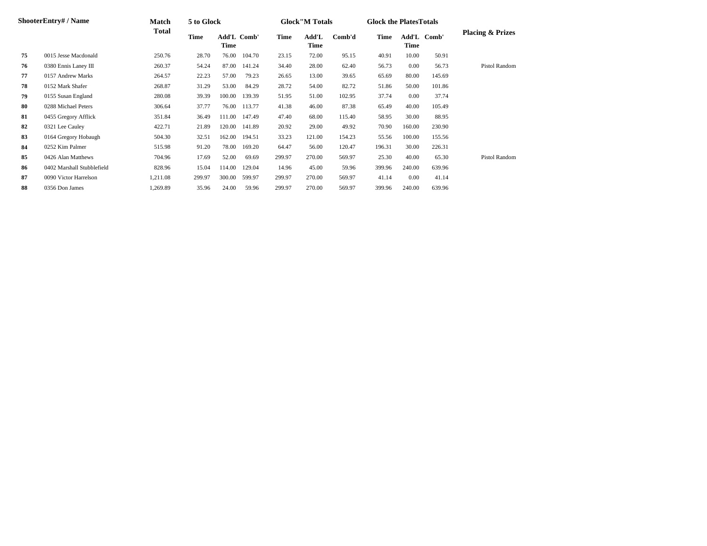|    | <b>ShooterEntry#/Name</b>  | Match    | 5 to Glock |                     |        |        | <b>Glock</b> "M Totals |        | <b>Glock the PlatesTotals</b> |               |        |                             |
|----|----------------------------|----------|------------|---------------------|--------|--------|------------------------|--------|-------------------------------|---------------|--------|-----------------------------|
|    |                            | Total    | Time       | Add'L Comb'<br>Time |        | Time   | Add'L<br>Time          | Comb'd | <b>Time</b>                   | Add'L<br>Time | Comb'  | <b>Placing &amp; Prizes</b> |
| 75 | 0015 Jesse Macdonald       | 250.76   | 28.70      | 76.00               | 104.70 | 23.15  | 72.00                  | 95.15  | 40.91                         | 10.00         | 50.91  |                             |
| 76 | 0380 Ennis Laney III       | 260.37   | 54.24      | 87.00               | 141.24 | 34.40  | 28.00                  | 62.40  | 56.73                         | 0.00          | 56.73  | Pistol Random               |
| 77 | 0157 Andrew Marks          | 264.57   | 22.23      | 57.00               | 79.23  | 26.65  | 13.00                  | 39.65  | 65.69                         | 80.00         | 145.69 |                             |
| 78 | 0152 Mark Shafer           | 268.87   | 31.29      | 53.00               | 84.29  | 28.72  | 54.00                  | 82.72  | 51.86                         | 50.00         | 101.86 |                             |
| 79 | 0155 Susan England         | 280.08   | 39.39      | 100.00              | 139.39 | 51.95  | 51.00                  | 102.95 | 37.74                         | 0.00          | 37.74  |                             |
| 80 | 0288 Michael Peters        | 306.64   | 37.77      | 76.00               | 113.77 | 41.38  | 46.00                  | 87.38  | 65.49                         | 40.00         | 105.49 |                             |
| 81 | 0455 Gregory Afflick       | 351.84   | 36.49      | 111.00              | 147.49 | 47.40  | 68.00                  | 115.40 | 58.95                         | 30.00         | 88.95  |                             |
| 82 | 0321 Lee Cauley            | 422.71   | 21.89      | 120.00              | 141.89 | 20.92  | 29.00                  | 49.92  | 70.90                         | 160.00        | 230.90 |                             |
| 83 | 0164 Gregory Hobaugh       | 504.30   | 32.51      | 162.00              | 194.51 | 33.23  | 121.00                 | 154.23 | 55.56                         | 100.00        | 155.56 |                             |
| 84 | 0252 Kim Palmer            | 515.98   | 91.20      | 78.00               | 169.20 | 64.47  | 56.00                  | 120.47 | 196.31                        | 30.00         | 226.31 |                             |
| 85 | 0426 Alan Matthews         | 704.96   | 17.69      | 52.00               | 69.69  | 299.97 | 270.00                 | 569.97 | 25.30                         | 40.00         | 65.30  | Pistol Random               |
| 86 | 0402 Marshall Stubblefield | 828.96   | 15.04      | 114.00              | 129.04 | 14.96  | 45.00                  | 59.96  | 399.96                        | 240.00        | 639.96 |                             |
| 87 | 0090 Victor Harrelson      | 1,211.08 | 299.97     | 300.00              | 599.97 | 299.97 | 270.00                 | 569.97 | 41.14                         | 0.00          | 41.14  |                             |
| 88 | 0356 Don James             | 1,269.89 | 35.96      | 24.00               | 59.96  | 299.97 | 270.00                 | 569.97 | 399.96                        | 240.00        | 639.96 |                             |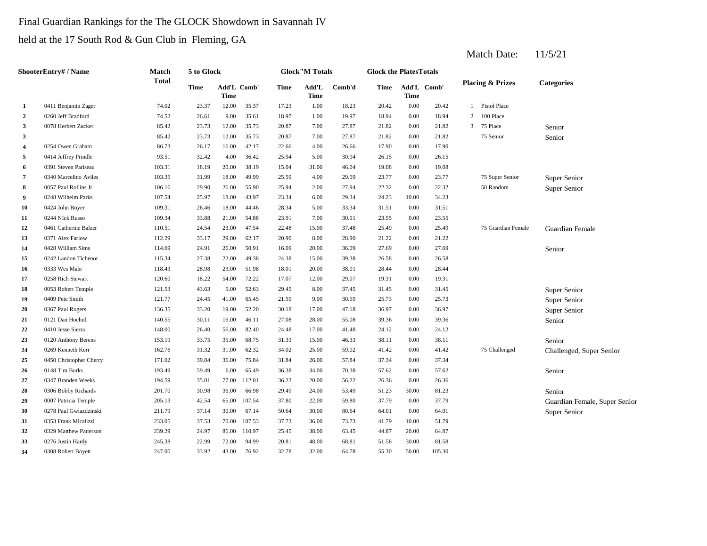#### Final Guardian Rankings for the The GLOCK Showdown in Savannah IV

#### held at the 17 South Rod & Gun Club in Fleming, GA

#### **2** 1.00 18.94 0260 Jeff Bradford 74.52 26.61 9.00 35.61 **3** 7.00 21.82 **3 3 85.42 85.42 23.73 12.00 35.73 20.87 7.00 27.87 21.82 4** 0254 Owen Graham 86.73 26.17 16.00 42.17 22.66 4.00 26.66 17.90 **5** 5.00 26.15 0414 Jeffrey Prindle 93.51 32.42 4.00 36.42 25.94 30.94 **6** 0391 Steven Pariseau 103.31 18.19 20.00 38.19 15.04 31.00 46.04 19.08 0.00 **7** 0340 Marcelino Aviles **103.35** 31.99 18.00 49.99 25.59 4.00 29.59 23.77 0.00 23.77 **8** 2.0057 Paul Rollins Jr. 106.16 29.90 26.00 26.00 25.94 2.00 27.94 22.32 0.00 **9** 0248 Wilhelm Parks 107.54 25.97 18.00 43.97 23.34 6.00 29.34 24.23 **10** 0424 John Boyer 109.31 26.46 18.00 44.46 28.34 5.00 33.34 31.51 0.00 11 0244 NIck Russo **109.34** 33.88 21.00 54.88 23.91 7.00 30.91 23.55 **12** 0461 Catherine Balzer 110.51 24.54 23.00 47.54 22.48 15.00 37.48 25.49 **13** 8.00 21.22 0371 Alex Farlow 112.29 33.17 29.00 62.17 **14 24.91 26.00 27.69 24.91 26.00 26.00 26.00 26.00 26.09 27.69 15** 15.00 26.58 0242 Landon Tichenor 115.34 27.38 22.00 49.38 24.38 **16** 2333 Wes Mahr **18.44** 28.98 23.00 **11.98 18.01** 20.00 **28.44** 28.98 23.00 **12.00** 28.44 **17** 12.00 **18.22** 17.07 **12.00 18.22** 17.07 **12.00 19.31 17.07 12.00 19.31 18 0053** Robert Temple **121.53** 43.63 9.00 52.63 29.45 8.00 37.45 31.45 0.00 31.45 **19** 0409 Pete Smith **198.1 121.77** 24.45 41.00 65.45 21.59 9.00 30.59 25.73 **20** 0367 Paul Rogers **136.35** 33.20 19.00 52.20 30.18 17.00 47.18 36.97 0.00 36.97 **21** 0121 Dan Hochuli 140.55 30.11 16.00 46.11 27.08 28.00 55.08 39.36 0.00 39.36 **22** 17.00 **21.12 22 22 24.12 24.12 24.12 24.12 24.12 24.12 24.12 24.12 24.12 24.12 23** 0120 Anthony Berens 153.19 33.75 35.00 68.75 31.33 15.00 46.33 38.11 **24 269** Kenneth Kerr **265 267 267 267 267 267 267 267 267 267 267 267 267 267 267 267 267 267 267 267 267 267 267 267 267 267 267 267 267 267 267 267 267 25** 26.00 37.34 0450 Christopher Cherry 171.02 39.84 36.00 75.84 **26** 34.00 57.62 **27** 0347 Branden Weeks 194.59 35.01 77.00 112.01 36.22 20.00 56.22 26.36 **28** 0306 Bobby Richards 201.70 30.98 36.00 66.98 29.49 24.00 53.49 51.23 **29** 0007 Patricia Temple 205.13 42.54 65.00 107.54 37.80 22.00 59.80 37.79 **30** 30.00 64.01 0278 Paul Gwiazdzinski 211.79 37.14 30.00 67.14 50.64 80.64 **31** 0353 Frank Micalizzi 233.05 37.53 70.00 107.53 37.73 36.00 73.73 41.79 **32** 0329 Matthew Patterson 239.29 24.97 86.00 110.97 25.45 38.00 63.45 44.87 20.00 **33**  $0276$  Justin Hardy **1245.38**  $22.99$   $72.00$   $94.99$   $20.81$   $48.00$   $68.81$   $51.58$ **34** 0308 Robert Boyett 247.00 33.92 43.00 76.92 32.78 32.00 64.78 55.30 50.00 105.30 64.87 0276 Justin Hardy 245.38 22.99 72.00 94.99 20.81 68.81 30.00 81.58 10.00 51.79 0.00 64.01 Super Senior 0.00 37.79 Guardian Female, Super Senior 30.00 81.23 Senior 56.22 0.00 26.36 70.38 0.00 57.62 Senior 31.84 57.84 0.00 37.34 0148 Tim Burks 193.49 59.49 6.00 65.49 36.38 59.02 0.00 41.42 75 Challenged Challenged, Super Senior 46.33 38.11 0.00 38.11 Senior 0269 Kenneth Kerr 162.76 31.32 31.00 62.32 34.02 Senior 0410 Jesse Sierra 148.00 26.40 56.00 82.40 24.48 41.48 0.00 24.12 Super Senior Super Senior Super Senior 0409 Pete Smith 121.77 24.45 41.00 65.45 21.59 9.00 30.59 25.73 0.00 25.73 19.31 0.00 28.44 0258 Rich Stewart 120.60 18.22 54.00 72.22 17.07 12.00 29.07 19.31 0.00 39.38 0.00 26.58 0333 Wes Mahr 118.43 28.98 23.00 51.98 18.01 20.00 38.01 36.09 0.00 27.69 Senior 20.90 8.00 28.90 21.22 0.00 21.22 0428 William Sims 114.69 24.91 26.00 50.91 16.09 37.48 0.00 25.49 75 Guardian Female Guardian Female 31.51 0244 NIck Russo 109.34 33.88 21.00 54.88 23.91 30.91 0.00 23.55 10.00 34.23 22.32 50 Random Super Senior 75 Super Senior Super Senior 19.08 0.00 26.15 26.66 0.00 17.90 0.00 21.82 75 Senior Senior 85.42 23.73 12.00 35.73 20.87 27.87 0078 Herbert Zucker **85.42** 23.73 12.00 35.73 20.87 7.00 27.87 21.82 0.00 21.82 3 75 Place Senior 18.97 1.00 19.97 18.94 0.00 18.94 2 100 Place 20.42 0.00 20.42 1 Pistol Place Add'L Comb' **1** 0411 Benjamin Zager 74.02 23.37 12.00 35.37 17.23 1.00 18.23 **Placing & Prizes Categories Time Add'L Time** Add'L Comb' **Time Add'L Time**  $Comb'd$  **Time Time ShooterEntry# / Name Match Total 5 to Glock Time Glock"M Totals Glock the PlatesTotals**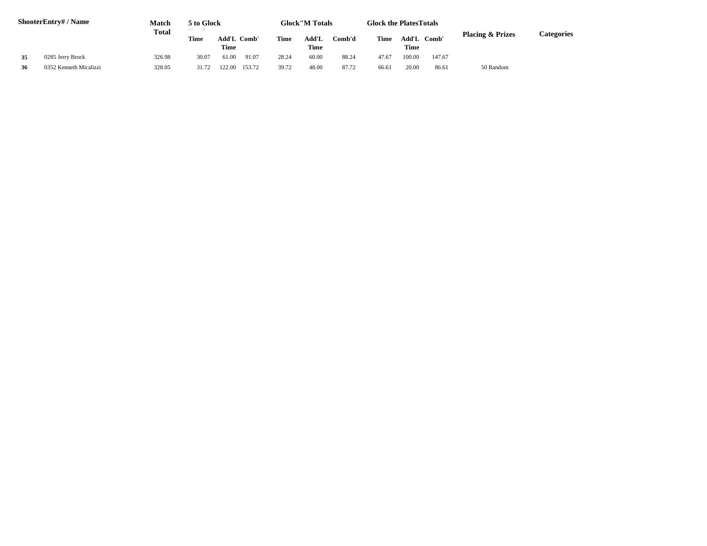|    | ShooterEntry# / Name   | <b>Match</b> | 5 to Glock |                     |       | <b>Glock</b> "M Totals |        | <b>Glock the PlatesTotals</b> |               |        |                             |            |
|----|------------------------|--------------|------------|---------------------|-------|------------------------|--------|-------------------------------|---------------|--------|-----------------------------|------------|
|    |                        | <b>Total</b> | Time       | Add'L Comb'<br>Time | Time  | Add'L<br>Time          | Comb'd | Time                          | Add'L<br>Time | Comb'  | <b>Placing &amp; Prizes</b> | Categories |
| 35 | 0285 Jerry Brock       | 326.98       | 30.07      | 61.00<br>91.07      | 28.24 | 60.00                  | 88.24  | 47.67                         | 100.00        | 147.67 |                             |            |
| 36 | 0352 Kenneth Micalizzi | 328.05       | 31.72      | 153.72<br>122.00    | 39.72 | 48.00                  | 87.72  | 66.61                         | 20.00         | 86.61  | 50 Random                   |            |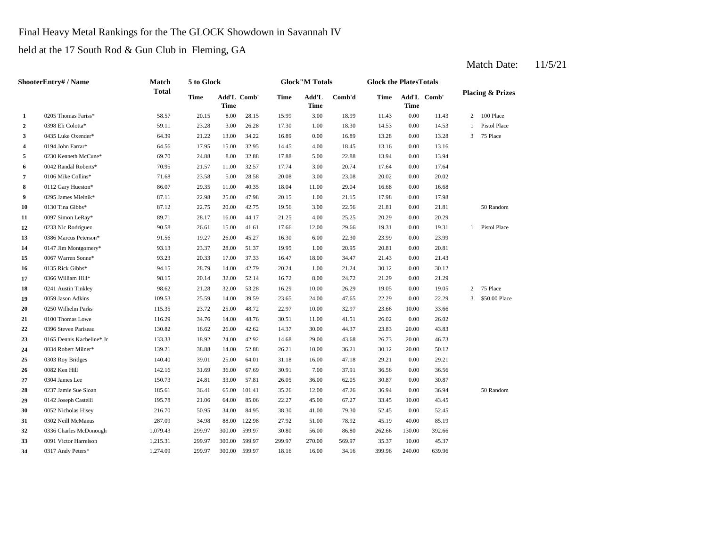Final Heavy Metal Rankings for the The GLOCK Showdown in Savannah IV

held at the 17 South Rod & Gun Club in Fleming, GA

|              | ShooterEntry# / Name      | Match        | 5 to Glock |        |             |        | <b>Glock</b> "M Totals |        | <b>Glock the PlatesTotals</b> |                            |        |   |                             |
|--------------|---------------------------|--------------|------------|--------|-------------|--------|------------------------|--------|-------------------------------|----------------------------|--------|---|-----------------------------|
|              |                           | <b>Total</b> | Time       | Time   | Add'L Comb' | Time   | Add'L<br><b>Time</b>   | Comb'd | Time                          | Add'L Comb'<br><b>Time</b> |        |   | <b>Placing &amp; Prizes</b> |
| 1            | 0205 Thomas Fariss*       | 58.57        | 20.15      | 8.00   | 28.15       | 15.99  | 3.00                   | 18.99  | 11.43                         | 0.00                       | 11.43  | 2 | 100 Place                   |
| $\mathbf{2}$ | 0398 Eli Colotta*         | 59.11        | 23.28      | 3.00   | 26.28       | 17.30  | 1.00                   | 18.30  | 14.53                         | 0.00                       | 14.53  | 1 | <b>Pistol Place</b>         |
| 3            | 0435 Luke Oxender*        | 64.39        | 21.22      | 13.00  | 34.22       | 16.89  | 0.00                   | 16.89  | 13.28                         | 0.00                       | 13.28  | 3 | 75 Place                    |
| 4            | 0194 John Farrar*         | 64.56        | 17.95      | 15.00  | 32.95       | 14.45  | 4.00                   | 18.45  | 13.16                         | 0.00                       | 13.16  |   |                             |
| 5            | 0230 Kenneth McCune*      | 69.70        | 24.88      | 8.00   | 32.88       | 17.88  | 5.00                   | 22.88  | 13.94                         | 0.00                       | 13.94  |   |                             |
| 6            | 0042 Randal Roberts*      | 70.95        | 21.57      | 11.00  | 32.57       | 17.74  | 3.00                   | 20.74  | 17.64                         | 0.00                       | 17.64  |   |                             |
| 7            | 0106 Mike Collins*        | 71.68        | 23.58      | 5.00   | 28.58       | 20.08  | 3.00                   | 23.08  | 20.02                         | 0.00                       | 20.02  |   |                             |
| 8            | 0112 Gary Hueston*        | 86.07        | 29.35      | 11.00  | 40.35       | 18.04  | 11.00                  | 29.04  | 16.68                         | 0.00                       | 16.68  |   |                             |
| 9            | 0295 James Mielnik*       | 87.11        | 22.98      | 25.00  | 47.98       | 20.15  | 1.00                   | 21.15  | 17.98                         | 0.00                       | 17.98  |   |                             |
| 10           | 0130 Tina Gibbs*          | 87.12        | 22.75      | 20.00  | 42.75       | 19.56  | 3.00                   | 22.56  | 21.81                         | 0.00                       | 21.81  |   | 50 Random                   |
| 11           | 0097 Simon LeRay*         | 89.71        | 28.17      | 16.00  | 44.17       | 21.25  | 4.00                   | 25.25  | 20.29                         | 0.00                       | 20.29  |   |                             |
| 12           | 0233 Nic Rodriguez        | 90.58        | 26.61      | 15.00  | 41.61       | 17.66  | 12.00                  | 29.66  | 19.31                         | 0.00                       | 19.31  | 1 | Pistol Place                |
| 13           | 0386 Marcus Peterson*     | 91.56        | 19.27      | 26.00  | 45.27       | 16.30  | 6.00                   | 22.30  | 23.99                         | 0.00                       | 23.99  |   |                             |
| 14           | 0147 Jim Montgomery*      | 93.13        | 23.37      | 28.00  | 51.37       | 19.95  | 1.00                   | 20.95  | 20.81                         | 0.00                       | 20.81  |   |                             |
| 15           | 0067 Warren Sonne*        | 93.23        | 20.33      | 17.00  | 37.33       | 16.47  | 18.00                  | 34.47  | 21.43                         | 0.00                       | 21.43  |   |                             |
| 16           | 0135 Rick Gibbs*          | 94.15        | 28.79      | 14.00  | 42.79       | 20.24  | 1.00                   | 21.24  | 30.12                         | 0.00                       | 30.12  |   |                             |
| 17           | 0366 William Hill*        | 98.15        | 20.14      | 32.00  | 52.14       | 16.72  | 8.00                   | 24.72  | 21.29                         | 0.00                       | 21.29  |   |                             |
| 18           | 0241 Austin Tinkley       | 98.62        | 21.28      | 32.00  | 53.28       | 16.29  | 10.00                  | 26.29  | 19.05                         | 0.00                       | 19.05  | 2 | 75 Place                    |
| 19           | 0059 Jason Adkins         | 109.53       | 25.59      | 14.00  | 39.59       | 23.65  | 24.00                  | 47.65  | 22.29                         | 0.00                       | 22.29  | 3 | \$50.00 Place               |
| 20           | 0250 Wilhelm Parks        | 115.35       | 23.72      | 25.00  | 48.72       | 22.97  | 10.00                  | 32.97  | 23.66                         | 10.00                      | 33.66  |   |                             |
| 21           | 0100 Thomas Lowe          | 116.29       | 34.76      | 14.00  | 48.76       | 30.51  | 11.00                  | 41.51  | 26.02                         | 0.00                       | 26.02  |   |                             |
| 22           | 0396 Steven Pariseau      | 130.82       | 16.62      | 26.00  | 42.62       | 14.37  | 30.00                  | 44.37  | 23.83                         | 20.00                      | 43.83  |   |                             |
| 23           | 0165 Dennis Kacheline* Jr | 133.33       | 18.92      | 24.00  | 42.92       | 14.68  | 29.00                  | 43.68  | 26.73                         | 20.00                      | 46.73  |   |                             |
| 24           | 0034 Robert Milner*       | 139.21       | 38.88      | 14.00  | 52.88       | 26.21  | 10.00                  | 36.21  | 30.12                         | 20.00                      | 50.12  |   |                             |
| 25           | 0303 Roy Bridges          | 140.40       | 39.01      | 25.00  | 64.01       | 31.18  | 16.00                  | 47.18  | 29.21                         | 0.00                       | 29.21  |   |                             |
| 26           | 0082 Ken Hill             | 142.16       | 31.69      | 36.00  | 67.69       | 30.91  | 7.00                   | 37.91  | 36.56                         | 0.00                       | 36.56  |   |                             |
| 27           | 0304 James Lee            | 150.73       | 24.81      | 33.00  | 57.81       | 26.05  | 36.00                  | 62.05  | 30.87                         | 0.00                       | 30.87  |   |                             |
| 28           | 0237 Jamie Sue Sloan      | 185.61       | 36.41      | 65.00  | 101.41      | 35.26  | 12.00                  | 47.26  | 36.94                         | 0.00                       | 36.94  |   | 50 Random                   |
| 29           | 0142 Joseph Castelli      | 195.78       | 21.06      | 64.00  | 85.06       | 22.27  | 45.00                  | 67.27  | 33.45                         | 10.00                      | 43.45  |   |                             |
| 30           | 0052 Nicholas Hisey       | 216.70       | 50.95      | 34.00  | 84.95       | 38.30  | 41.00                  | 79.30  | 52.45                         | 0.00                       | 52.45  |   |                             |
| 31           | 0302 Neill McManus        | 287.09       | 34.98      | 88.00  | 122.98      | 27.92  | 51.00                  | 78.92  | 45.19                         | 40.00                      | 85.19  |   |                             |
| 32           | 0336 Charles McDonough    | 1,079.43     | 299.97     | 300.00 | 599.97      | 30.80  | 56.00                  | 86.80  | 262.66                        | 130.00                     | 392.66 |   |                             |
| 33           | 0091 Victor Harrelson     | 1,215.31     | 299.97     | 300.00 | 599.97      | 299.97 | 270.00                 | 569.97 | 35.37                         | 10.00                      | 45.37  |   |                             |
| 34           | 0317 Andy Peters*         | 1,274.09     | 299.97     | 300.00 | 599.97      | 18.16  | 16.00                  | 34.16  | 399.96                        | 240.00                     | 639.96 |   |                             |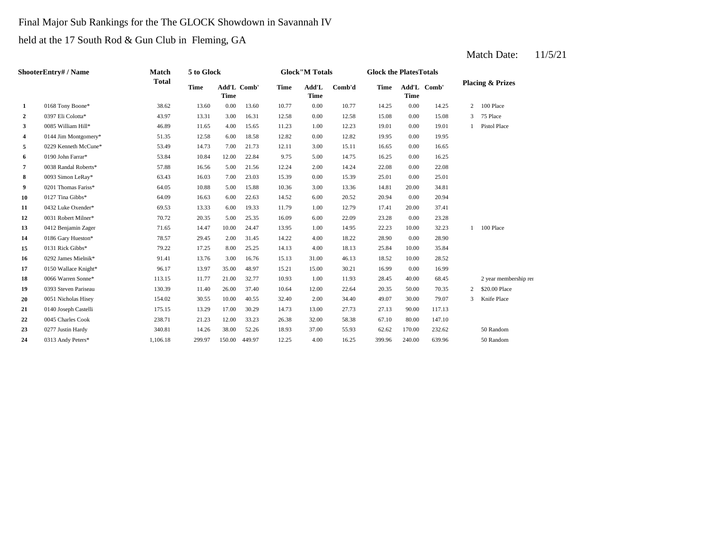## Final Major Sub Rankings for the The GLOCK Showdown in Savannah IV

## held at the 17 South Rod & Gun Club in Fleming, GA

| ShooterEntry# / Name | Match                | 5 to Glock   |             |                            |        | <b>Glock</b> "M Totals |                      | <b>Glock the PlatesTotals</b> |             |             |             |                |                             |
|----------------------|----------------------|--------------|-------------|----------------------------|--------|------------------------|----------------------|-------------------------------|-------------|-------------|-------------|----------------|-----------------------------|
|                      |                      | <b>Total</b> | <b>Time</b> | Add'L Comb'<br><b>Time</b> |        | Time                   | Add'L<br><b>Time</b> | Comb'd                        | <b>Time</b> | <b>Time</b> | Add'L Comb' |                | <b>Placing &amp; Prizes</b> |
| 1                    | 0168 Tony Boone*     | 38.62        | 13.60       | 0.00                       | 13.60  | 10.77                  | 0.00                 | 10.77                         | 14.25       | 0.00        | 14.25       | $\overline{2}$ | 100 Place                   |
| 2                    | 0397 Eli Colotta*    | 43.97        | 13.31       | 3.00                       | 16.31  | 12.58                  | 0.00                 | 12.58                         | 15.08       | 0.00        | 15.08       | 3              | 75 Place                    |
| 3                    | 0085 William Hill*   | 46.89        | 11.65       | 4.00                       | 15.65  | 11.23                  | 1.00                 | 12.23                         | 19.01       | 0.00        | 19.01       |                | 1 Pistol Place              |
| 4                    | 0144 Jim Montgomery* | 51.35        | 12.58       | 6.00                       | 18.58  | 12.82                  | 0.00                 | 12.82                         | 19.95       | 0.00        | 19.95       |                |                             |
| 5                    | 0229 Kenneth McCune* | 53.49        | 14.73       | 7.00                       | 21.73  | 12.11                  | 3.00                 | 15.11                         | 16.65       | 0.00        | 16.65       |                |                             |
| 6                    | 0190 John Farrar*    | 53.84        | 10.84       | 12.00                      | 22.84  | 9.75                   | 5.00                 | 14.75                         | 16.25       | 0.00        | 16.25       |                |                             |
| 7                    | 0038 Randal Roberts* | 57.88        | 16.56       | 5.00                       | 21.56  | 12.24                  | 2.00                 | 14.24                         | 22.08       | 0.00        | 22.08       |                |                             |
| 8                    | 0093 Simon LeRay*    | 63.43        | 16.03       | 7.00                       | 23.03  | 15.39                  | 0.00                 | 15.39                         | 25.01       | 0.00        | 25.01       |                |                             |
| 9                    | 0201 Thomas Fariss*  | 64.05        | 10.88       | 5.00                       | 15.88  | 10.36                  | 3.00                 | 13.36                         | 14.81       | 20.00       | 34.81       |                |                             |
| 10                   | 0127 Tina Gibbs*     | 64.09        | 16.63       | 6.00                       | 22.63  | 14.52                  | 6.00                 | 20.52                         | 20.94       | 0.00        | 20.94       |                |                             |
| 11                   | 0432 Luke Oxender*   | 69.53        | 13.33       | 6.00                       | 19.33  | 11.79                  | 1.00                 | 12.79                         | 17.41       | 20.00       | 37.41       |                |                             |
| 12                   | 0031 Robert Milner*  | 70.72        | 20.35       | 5.00                       | 25.35  | 16.09                  | 6.00                 | 22.09                         | 23.28       | 0.00        | 23.28       |                |                             |
| 13                   | 0412 Benjamin Zager  | 71.65        | 14.47       | 10.00                      | 24.47  | 13.95                  | 1.00                 | 14.95                         | 22.23       | 10.00       | 32.23       |                | 1 100 Place                 |
| 14                   | 0186 Gary Hueston*   | 78.57        | 29.45       | 2.00                       | 31.45  | 14.22                  | 4.00                 | 18.22                         | 28.90       | 0.00        | 28.90       |                |                             |
| 15                   | 0131 Rick Gibbs*     | 79.22        | 17.25       | 8.00                       | 25.25  | 14.13                  | 4.00                 | 18.13                         | 25.84       | 10.00       | 35.84       |                |                             |
| 16                   | 0292 James Mielnik*  | 91.41        | 13.76       | 3.00                       | 16.76  | 15.13                  | 31.00                | 46.13                         | 18.52       | 10.00       | 28.52       |                |                             |
| 17                   | 0150 Wallace Knight* | 96.17        | 13.97       | 35.00                      | 48.97  | 15.21                  | 15.00                | 30.21                         | 16.99       | 0.00        | 16.99       |                |                             |
| 18                   | 0066 Warren Sonne*   | 113.15       | 11.77       | 21.00                      | 32.77  | 10.93                  | 1.00                 | 11.93                         | 28.45       | 40.00       | 68.45       |                | 2 year membership rei       |
| 19                   | 0393 Steven Pariseau | 130.39       | 11.40       | 26.00                      | 37.40  | 10.64                  | 12.00                | 22.64                         | 20.35       | 50.00       | 70.35       | 2              | \$20,00 Place               |
| 20                   | 0051 Nicholas Hisey  | 154.02       | 30.55       | 10.00                      | 40.55  | 32.40                  | 2.00                 | 34.40                         | 49.07       | 30.00       | 79.07       | 3              | Knife Place                 |
| 21                   | 0140 Joseph Castelli | 175.15       | 13.29       | 17.00                      | 30.29  | 14.73                  | 13.00                | 27.73                         | 27.13       | 90.00       | 117.13      |                |                             |
| 22                   | 0045 Charles Cook    | 238.71       | 21.23       | 12.00                      | 33.23  | 26.38                  | 32.00                | 58.38                         | 67.10       | 80.00       | 147.10      |                |                             |
| 23                   | 0277 Justin Hardy    | 340.81       | 14.26       | 38.00                      | 52.26  | 18.93                  | 37.00                | 55.93                         | 62.62       | 170.00      | 232.62      |                | 50 Random                   |
| 24                   | 0313 Andy Peters*    | 1,106.18     | 299.97      | 150.00                     | 449.97 | 12.25                  | 4.00                 | 16.25                         | 399.96      | 240.00      | 639.96      |                | 50 Random                   |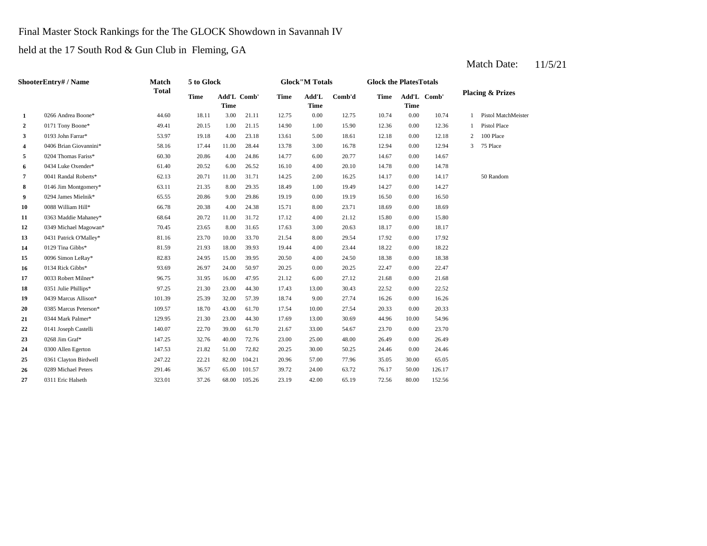## Final Master Stock Rankings for the The GLOCK Showdown in Savannah IV

held at the 17 South Rod & Gun Club in Fleming, GA

|    | ShooterEntry# / Name   | Match        | 5 to Glock  |                            |        |             | <b>Glock</b> "M Totals |        | <b>Glock the PlatesTotals</b> |                            |        |                |                             |
|----|------------------------|--------------|-------------|----------------------------|--------|-------------|------------------------|--------|-------------------------------|----------------------------|--------|----------------|-----------------------------|
|    |                        | <b>Total</b> | <b>Time</b> | Add'L Comb'<br><b>Time</b> |        | <b>Time</b> | Add'L<br><b>Time</b>   | Comb'd | <b>Time</b>                   | Add'L Comb'<br><b>Time</b> |        |                | <b>Placing &amp; Prizes</b> |
| 1  | 0266 Andrea Boone*     | 44.60        | 18.11       | 3.00                       | 21.11  | 12.75       | 0.00                   | 12.75  | 10.74                         | 0.00                       | 10.74  | 1              | Pistol MatchMeister         |
| 2  | 0171 Tony Boone*       | 49.41        | 20.15       | 1.00                       | 21.15  | 14.90       | 1.00                   | 15.90  | 12.36                         | 0.00                       | 12.36  | 1              | Pistol Place                |
| 3  | 0193 John Farrar*      | 53.97        | 19.18       | 4.00                       | 23.18  | 13.61       | 5.00                   | 18.61  | 12.18                         | 0.00                       | 12.18  | $\overline{2}$ | 100 Place                   |
| 4  | 0406 Brian Giovannini* | 58.16        | 17.44       | 11.00                      | 28.44  | 13.78       | 3.00                   | 16.78  | 12.94                         | 0.00                       | 12.94  | 3              | 75 Place                    |
| 5  | 0204 Thomas Fariss*    | 60.30        | 20.86       | 4.00                       | 24.86  | 14.77       | 6.00                   | 20.77  | 14.67                         | 0.00                       | 14.67  |                |                             |
| 6  | 0434 Luke Oxender*     | 61.40        | 20.52       | 6.00                       | 26.52  | 16.10       | 4.00                   | 20.10  | 14.78                         | 0.00                       | 14.78  |                |                             |
| 7  | 0041 Randal Roberts*   | 62.13        | 20.71       | 11.00                      | 31.71  | 14.25       | 2.00                   | 16.25  | 14.17                         | 0.00                       | 14.17  |                | 50 Random                   |
| 8  | 0146 Jim Montgomery*   | 63.11        | 21.35       | 8.00                       | 29.35  | 18.49       | 1.00                   | 19.49  | 14.27                         | 0.00                       | 14.27  |                |                             |
| 9  | 0294 James Mielnik*    | 65.55        | 20.86       | 9.00                       | 29.86  | 19.19       | 0.00                   | 19.19  | 16.50                         | 0.00                       | 16.50  |                |                             |
| 10 | 0088 William Hill*     | 66.78        | 20.38       | 4.00                       | 24.38  | 15.71       | 8.00                   | 23.71  | 18.69                         | 0.00                       | 18.69  |                |                             |
| 11 | 0363 Maddie Mahaney*   | 68.64        | 20.72       | 11.00                      | 31.72  | 17.12       | 4.00                   | 21.12  | 15.80                         | 0.00                       | 15.80  |                |                             |
| 12 | 0349 Michael Magowan*  | 70.45        | 23.65       | 8.00                       | 31.65  | 17.63       | 3.00                   | 20.63  | 18.17                         | 0.00                       | 18.17  |                |                             |
| 13 | 0431 Patrick O'Malley* | 81.16        | 23.70       | 10.00                      | 33.70  | 21.54       | 8.00                   | 29.54  | 17.92                         | 0.00                       | 17.92  |                |                             |
| 14 | 0129 Tina Gibbs*       | 81.59        | 21.93       | 18.00                      | 39.93  | 19.44       | 4.00                   | 23.44  | 18.22                         | 0.00                       | 18.22  |                |                             |
| 15 | 0096 Simon LeRay*      | 82.83        | 24.95       | 15.00                      | 39.95  | 20.50       | 4.00                   | 24.50  | 18.38                         | 0.00                       | 18.38  |                |                             |
| 16 | 0134 Rick Gibbs*       | 93.69        | 26.97       | 24.00                      | 50.97  | 20.25       | 0.00                   | 20.25  | 22.47                         | 0.00                       | 22.47  |                |                             |
| 17 | 0033 Robert Milner*    | 96.75        | 31.95       | 16.00                      | 47.95  | 21.12       | 6.00                   | 27.12  | 21.68                         | 0.00                       | 21.68  |                |                             |
| 18 | 0351 Julie Phillips*   | 97.25        | 21.30       | 23.00                      | 44.30  | 17.43       | 13.00                  | 30.43  | 22.52                         | 0.00                       | 22.52  |                |                             |
| 19 | 0439 Marcus Allison*   | 101.39       | 25.39       | 32.00                      | 57.39  | 18.74       | 9.00                   | 27.74  | 16.26                         | 0.00                       | 16.26  |                |                             |
| 20 | 0385 Marcus Peterson*  | 109.57       | 18.70       | 43.00                      | 61.70  | 17.54       | 10.00                  | 27.54  | 20.33                         | 0.00                       | 20.33  |                |                             |
| 21 | 0344 Mark Palmer*      | 129.95       | 21.30       | 23.00                      | 44.30  | 17.69       | 13.00                  | 30.69  | 44.96                         | 10.00                      | 54.96  |                |                             |
| 22 | 0141 Joseph Castelli   | 140.07       | 22.70       | 39.00                      | 61.70  | 21.67       | 33.00                  | 54.67  | 23.70                         | 0.00                       | 23.70  |                |                             |
| 23 | 0268 Jim Graf*         | 147.25       | 32.76       | 40.00                      | 72.76  | 23.00       | 25.00                  | 48.00  | 26.49                         | 0.00                       | 26.49  |                |                             |
| 24 | 0300 Allen Egerton     | 147.53       | 21.82       | 51.00                      | 72.82  | 20.25       | 30.00                  | 50.25  | 24.46                         | 0.00                       | 24.46  |                |                             |
| 25 | 0361 Clayton Birdwell  | 247.22       | 22.21       | 82.00                      | 104.21 | 20.96       | 57.00                  | 77.96  | 35.05                         | 30.00                      | 65.05  |                |                             |
| 26 | 0289 Michael Peters    | 291.46       | 36.57       | 65.00                      | 101.57 | 39.72       | 24.00                  | 63.72  | 76.17                         | 50.00                      | 126.17 |                |                             |
| 27 | 0311 Eric Halseth      | 323.01       | 37.26       | 68.00                      | 105.26 | 23.19       | 42.00                  | 65.19  | 72.56                         | 80.00                      | 152.56 |                |                             |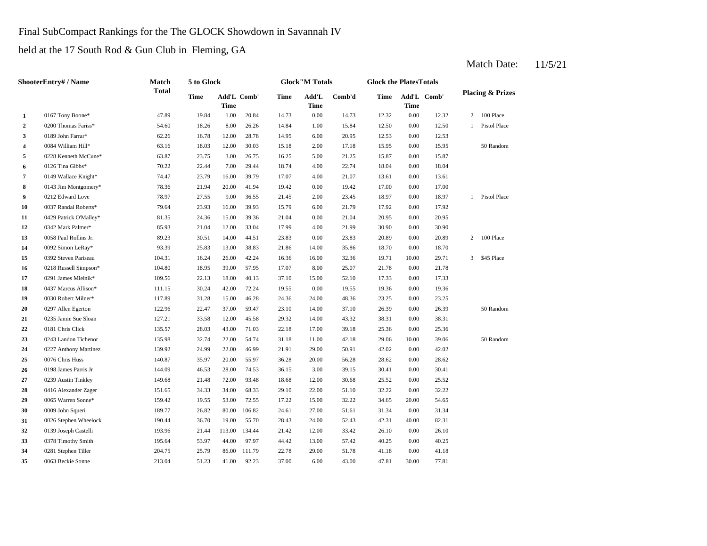Final SubCompact Rankings for the The GLOCK Showdown in Savannah IV

held at the 17 South Rod & Gun Club in Fleming, GA

|              | ShooterEntry# / Name   | Match        | 5 to Glock  |             |             |       | <b>Glock</b> "M Totals |        | <b>Glock the PlatesTotals</b> |       |             |   |                             |
|--------------|------------------------|--------------|-------------|-------------|-------------|-------|------------------------|--------|-------------------------------|-------|-------------|---|-----------------------------|
|              |                        | <b>Total</b> | <b>Time</b> | <b>Time</b> | Add'L Comb' | Time  | Add'L<br><b>Time</b>   | Comb'd | Time                          | Time  | Add'L Comb' |   | <b>Placing &amp; Prizes</b> |
| 1            | 0167 Tony Boone*       | 47.89        | 19.84       | 1.00        | 20.84       | 14.73 | 0.00                   | 14.73  | 12.32                         | 0.00  | 12.32       | 2 | 100 Place                   |
| $\mathbf{2}$ | 0200 Thomas Fariss*    | 54.60        | 18.26       | 8.00        | 26.26       | 14.84 | 1.00                   | 15.84  | 12.50                         | 0.00  | 12.50       | 1 | Pistol Place                |
| 3            | 0189 John Farrar*      | 62.26        | 16.78       | 12.00       | 28.78       | 14.95 | 6.00                   | 20.95  | 12.53                         | 0.00  | 12.53       |   |                             |
| 4            | 0084 William Hill*     | 63.16        | 18.03       | 12.00       | 30.03       | 15.18 | 2.00                   | 17.18  | 15.95                         | 0.00  | 15.95       |   | 50 Random                   |
| 5            | 0228 Kenneth McCune*   | 63.87        | 23.75       | 3.00        | 26.75       | 16.25 | 5.00                   | 21.25  | 15.87                         | 0.00  | 15.87       |   |                             |
| 6            | 0126 Tina Gibbs*       | 70.22        | 22.44       | 7.00        | 29.44       | 18.74 | 4.00                   | 22.74  | 18.04                         | 0.00  | 18.04       |   |                             |
| 7            | 0149 Wallace Knight*   | 74.47        | 23.79       | 16.00       | 39.79       | 17.07 | 4.00                   | 21.07  | 13.61                         | 0.00  | 13.61       |   |                             |
| 8            | 0143 Jim Montgomery*   | 78.36        | 21.94       | 20.00       | 41.94       | 19.42 | 0.00                   | 19.42  | 17.00                         | 0.00  | 17.00       |   |                             |
| 9            | 0212 Edward Love       | 78.97        | 27.55       | 9.00        | 36.55       | 21.45 | 2.00                   | 23.45  | 18.97                         | 0.00  | 18.97       |   | 1 Pistol Place              |
| 10           | 0037 Randal Roberts*   | 79.64        | 23.93       | 16.00       | 39.93       | 15.79 | 6.00                   | 21.79  | 17.92                         | 0.00  | 17.92       |   |                             |
| 11           | 0429 Patrick O'Malley* | 81.35        | 24.36       | 15.00       | 39.36       | 21.04 | 0.00                   | 21.04  | 20.95                         | 0.00  | 20.95       |   |                             |
| 12           | 0342 Mark Palmer*      | 85.93        | 21.04       | 12.00       | 33.04       | 17.99 | 4.00                   | 21.99  | 30.90                         | 0.00  | 30.90       |   |                             |
| 13           | 0058 Paul Rollins Jr.  | 89.23        | 30.51       | 14.00       | 44.51       | 23.83 | 0.00                   | 23.83  | 20.89                         | 0.00  | 20.89       | 2 | 100 Place                   |
| 14           | 0092 Simon LeRay*      | 93.39        | 25.83       | 13.00       | 38.83       | 21.86 | 14.00                  | 35.86  | 18.70                         | 0.00  | 18.70       |   |                             |
| 15           | 0392 Steven Pariseau   | 104.31       | 16.24       | 26.00       | 42.24       | 16.36 | 16.00                  | 32.36  | 19.71                         | 10.00 | 29.71       | 3 | \$45 Place                  |
| 16           | 0218 Russell Simpson*  | 104.80       | 18.95       | 39.00       | 57.95       | 17.07 | 8.00                   | 25.07  | 21.78                         | 0.00  | 21.78       |   |                             |
| 17           | 0291 James Mielnik*    | 109.56       | 22.13       | 18.00       | 40.13       | 37.10 | 15.00                  | 52.10  | 17.33                         | 0.00  | 17.33       |   |                             |
| 18           | 0437 Marcus Allison*   | 111.15       | 30.24       | 42.00       | 72.24       | 19.55 | 0.00                   | 19.55  | 19.36                         | 0.00  | 19.36       |   |                             |
| 19           | 0030 Robert Milner*    | 117.89       | 31.28       | 15.00       | 46.28       | 24.36 | 24.00                  | 48.36  | 23.25                         | 0.00  | 23.25       |   |                             |
| 20           | 0297 Allen Egerton     | 122.96       | 22.47       | 37.00       | 59.47       | 23.10 | 14.00                  | 37.10  | 26.39                         | 0.00  | 26.39       |   | 50 Random                   |
| 21           | 0235 Jamie Sue Sloan   | 127.21       | 33.58       | 12.00       | 45.58       | 29.32 | 14.00                  | 43.32  | 38.31                         | 0.00  | 38.31       |   |                             |
| 22           | 0181 Chris Click       | 135.57       | 28.03       | 43.00       | 71.03       | 22.18 | 17.00                  | 39.18  | 25.36                         | 0.00  | 25.36       |   |                             |
| 23           | 0243 Landon Tichenor   | 135.98       | 32.74       | 22.00       | 54.74       | 31.18 | 11.00                  | 42.18  | 29.06                         | 10.00 | 39.06       |   | 50 Random                   |
| 24           | 0227 Anthony Martinez  | 139.92       | 24.99       | 22.00       | 46.99       | 21.91 | 29.00                  | 50.91  | 42.02                         | 0.00  | 42.02       |   |                             |
| 25           | 0076 Chris Huss        | 140.87       | 35.97       | 20.00       | 55.97       | 36.28 | 20.00                  | 56.28  | 28.62                         | 0.00  | 28.62       |   |                             |
| 26           | 0198 James Parris Jr   | 144.09       | 46.53       | 28.00       | 74.53       | 36.15 | 3.00                   | 39.15  | 30.41                         | 0.00  | 30.41       |   |                             |
| 27           | 0239 Austin Tinkley    | 149.68       | 21.48       | 72.00       | 93.48       | 18.68 | 12.00                  | 30.68  | 25.52                         | 0.00  | 25.52       |   |                             |
| 28           | 0416 Alexander Zager   | 151.65       | 34.33       | 34.00       | 68.33       | 29.10 | 22.00                  | 51.10  | 32.22                         | 0.00  | 32.22       |   |                             |
| 29           | 0065 Warren Sonne*     | 159.42       | 19.55       | 53.00       | 72.55       | 17.22 | 15.00                  | 32.22  | 34.65                         | 20.00 | 54.65       |   |                             |
| 30           | 0009 John Squeri       | 189.77       | 26.82       | 80.00       | 106.82      | 24.61 | 27.00                  | 51.61  | 31.34                         | 0.00  | 31.34       |   |                             |
| 31           | 0026 Stephen Wheelock  | 190.44       | 36.70       | 19.00       | 55.70       | 28.43 | 24.00                  | 52.43  | 42.31                         | 40.00 | 82.31       |   |                             |
| 32           | 0139 Joseph Castelli   | 193.96       | 21.44       | 113.00      | 134.44      | 21.42 | 12.00                  | 33.42  | 26.10                         | 0.00  | 26.10       |   |                             |
| 33           | 0378 Timothy Smith     | 195.64       | 53.97       | 44.00       | 97.97       | 44.42 | 13.00                  | 57.42  | 40.25                         | 0.00  | 40.25       |   |                             |
| 34           | 0281 Stephen Tiller    | 204.75       | 25.79       | 86.00       | 111.79      | 22.78 | 29.00                  | 51.78  | 41.18                         | 0.00  | 41.18       |   |                             |
| 35           | 0063 Beckie Sonne      | 213.04       | 51.23       | 41.00       | 92.23       | 37.00 | 6.00                   | 43.00  | 47.81                         | 30.00 | 77.81       |   |                             |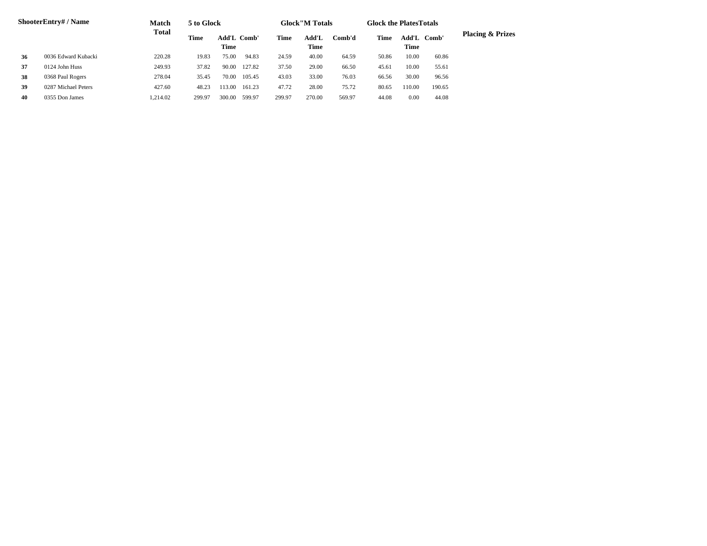|    | ShooterEntry# / Name |          | 5 to Glock |        |             |        | <b>Glock</b> "M Totals |        | <b>Glock the Plates Totals</b> |               |        |                             |
|----|----------------------|----------|------------|--------|-------------|--------|------------------------|--------|--------------------------------|---------------|--------|-----------------------------|
|    |                      | Total    | Time       | Time   | Add'L Comb' | Time   | Add'L<br>Time          | Comb'd | Time                           | Add'L<br>Time | Comb'  | <b>Placing &amp; Prizes</b> |
| 36 | 0036 Edward Kubacki  | 220.28   | 19.83      | 75.00  | 94.83       | 24.59  | 40.00                  | 64.59  | 50.86                          | 10.00         | 60.86  |                             |
| 37 | 0124 John Huss       | 249.93   | 37.82      | 90.00  | 127.82      | 37.50  | 29.00                  | 66.50  | 45.61                          | 10.00         | 55.61  |                             |
| 38 | 0368 Paul Rogers     | 278.04   | 35.45      | 70.00  | 105.45      | 43.03  | 33.00                  | 76.03  | 66.56                          | 30.00         | 96.56  |                             |
| 39 | 0287 Michael Peters  | 427.60   | 48.23      | 113.00 | 161.23      | 47.72  | 28.00                  | 75.72  | 80.65                          | 10.00         | 190.65 |                             |
| 40 | 0355 Don James       | 1.214.02 | 299.97     | 300.00 | 599.97      | 299.97 | 270.00                 | 569.97 | 44.08                          | 0.00          | 44.08  |                             |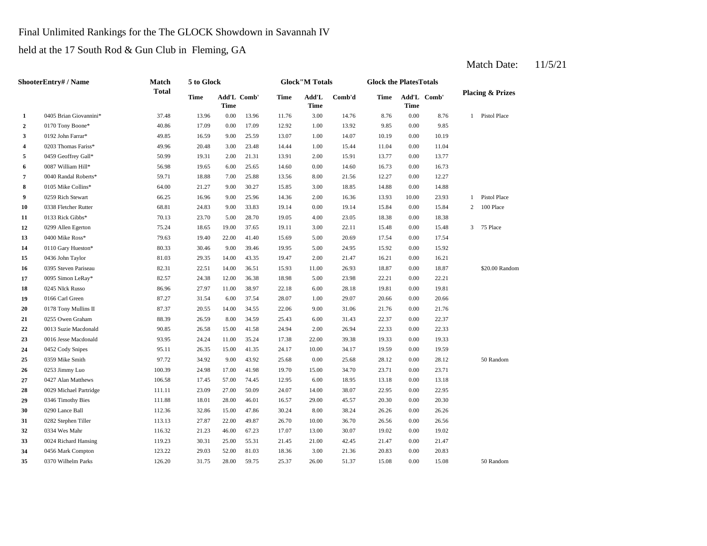Final Unlimited Rankings for the The GLOCK Showdown in Savannah IV

held at the 17 South Rod & Gun Club in Fleming, GA

|    | ShooterEntry# / Name   | Match        | 5 to Glock  |       |             |             | <b>Glock</b> "M Totals |        | <b>Glock the PlatesTotals</b> |                            |       |                |                             |
|----|------------------------|--------------|-------------|-------|-------------|-------------|------------------------|--------|-------------------------------|----------------------------|-------|----------------|-----------------------------|
|    |                        | <b>Total</b> | <b>Time</b> | Time  | Add'L Comb' | <b>Time</b> | Add'L<br><b>Time</b>   | Comb'd | Time                          | Add'L Comb'<br><b>Time</b> |       |                | <b>Placing &amp; Prizes</b> |
| 1  | 0405 Brian Giovannini* | 37.48        | 13.96       | 0.00  | 13.96       | 11.76       | 3.00                   | 14.76  | 8.76                          | 0.00                       | 8.76  |                | 1 Pistol Place              |
| 2  | 0170 Tony Boone*       | 40.86        | 17.09       | 0.00  | 17.09       | 12.92       | 1.00                   | 13.92  | 9.85                          | 0.00                       | 9.85  |                |                             |
| 3  | 0192 John Farrar*      | 49.85        | 16.59       | 9.00  | 25.59       | 13.07       | 1.00                   | 14.07  | 10.19                         | 0.00                       | 10.19 |                |                             |
| 4  | 0203 Thomas Fariss*    | 49.96        | 20.48       | 3.00  | 23.48       | 14.44       | 1.00                   | 15.44  | 11.04                         | 0.00                       | 11.04 |                |                             |
| 5  | 0459 Geoffrey Gall*    | 50.99        | 19.31       | 2.00  | 21.31       | 13.91       | 2.00                   | 15.91  | 13.77                         | 0.00                       | 13.77 |                |                             |
| 6  | 0087 William Hill*     | 56.98        | 19.65       | 6.00  | 25.65       | 14.60       | 0.00                   | 14.60  | 16.73                         | 0.00                       | 16.73 |                |                             |
| 7  | 0040 Randal Roberts*   | 59.71        | 18.88       | 7.00  | 25.88       | 13.56       | 8.00                   | 21.56  | 12.27                         | 0.00                       | 12.27 |                |                             |
| 8  | 0105 Mike Collins*     | 64.00        | 21.27       | 9.00  | 30.27       | 15.85       | 3.00                   | 18.85  | 14.88                         | 0.00                       | 14.88 |                |                             |
| 9  | 0259 Rich Stewart      | 66.25        | 16.96       | 9.00  | 25.96       | 14.36       | 2.00                   | 16.36  | 13.93                         | 10.00                      | 23.93 | $\mathbf{1}$   | Pistol Place                |
| 10 | 0338 Fletcher Rutter   | 68.81        | 24.83       | 9.00  | 33.83       | 19.14       | 0.00                   | 19.14  | 15.84                         | 0.00                       | 15.84 | $\overline{2}$ | 100 Place                   |
| 11 | 0133 Rick Gibbs*       | 70.13        | 23.70       | 5.00  | 28.70       | 19.05       | 4.00                   | 23.05  | 18.38                         | 0.00                       | 18.38 |                |                             |
| 12 | 0299 Allen Egerton     | 75.24        | 18.65       | 19.00 | 37.65       | 19.11       | 3.00                   | 22.11  | 15.48                         | 0.00                       | 15.48 | $\overline{3}$ | 75 Place                    |
| 13 | 0400 Mike Ross*        | 79.63        | 19.40       | 22.00 | 41.40       | 15.69       | 5.00                   | 20.69  | 17.54                         | 0.00                       | 17.54 |                |                             |
| 14 | 0110 Gary Hueston*     | 80.33        | 30.46       | 9.00  | 39.46       | 19.95       | 5.00                   | 24.95  | 15.92                         | 0.00                       | 15.92 |                |                             |
| 15 | 0436 John Taylor       | 81.03        | 29.35       | 14.00 | 43.35       | 19.47       | 2.00                   | 21.47  | 16.21                         | 0.00                       | 16.21 |                |                             |
| 16 | 0395 Steven Pariseau   | 82.31        | 22.51       | 14.00 | 36.51       | 15.93       | 11.00                  | 26.93  | 18.87                         | 0.00                       | 18.87 |                | \$20.00 Random              |
| 17 | 0095 Simon LeRay*      | 82.57        | 24.38       | 12.00 | 36.38       | 18.98       | 5.00                   | 23.98  | 22.21                         | 0.00                       | 22.21 |                |                             |
| 18 | 0245 NIck Russo        | 86.96        | 27.97       | 11.00 | 38.97       | 22.18       | 6.00                   | 28.18  | 19.81                         | 0.00                       | 19.81 |                |                             |
| 19 | 0166 Carl Green        | 87.27        | 31.54       | 6.00  | 37.54       | 28.07       | 1.00                   | 29.07  | 20.66                         | 0.00                       | 20.66 |                |                             |
| 20 | 0178 Tony Mullins II   | 87.37        | 20.55       | 14.00 | 34.55       | 22.06       | 9.00                   | 31.06  | 21.76                         | 0.00                       | 21.76 |                |                             |
| 21 | 0255 Owen Graham       | 88.39        | 26.59       | 8.00  | 34.59       | 25.43       | 6.00                   | 31.43  | 22.37                         | 0.00                       | 22.37 |                |                             |
| 22 | 0013 Suzie Macdonald   | 90.85        | 26.58       | 15.00 | 41.58       | 24.94       | 2.00                   | 26.94  | 22.33                         | 0.00                       | 22.33 |                |                             |
| 23 | 0016 Jesse Macdonald   | 93.95        | 24.24       | 11.00 | 35.24       | 17.38       | 22.00                  | 39.38  | 19.33                         | 0.00                       | 19.33 |                |                             |
| 24 | 0452 Cody Snipes       | 95.11        | 26.35       | 15.00 | 41.35       | 24.17       | 10.00                  | 34.17  | 19.59                         | 0.00                       | 19.59 |                |                             |
| 25 | 0359 Mike Smith        | 97.72        | 34.92       | 9.00  | 43.92       | 25.68       | 0.00                   | 25.68  | 28.12                         | 0.00                       | 28.12 |                | 50 Random                   |
| 26 | 0253 Jimmy Luo         | 100.39       | 24.98       | 17.00 | 41.98       | 19.70       | 15.00                  | 34.70  | 23.71                         | 0.00                       | 23.71 |                |                             |
| 27 | 0427 Alan Matthews     | 106.58       | 17.45       | 57.00 | 74.45       | 12.95       | 6.00                   | 18.95  | 13.18                         | 0.00                       | 13.18 |                |                             |
| 28 | 0029 Michael Partridge | 111.11       | 23.09       | 27.00 | 50.09       | 24.07       | 14.00                  | 38.07  | 22.95                         | 0.00                       | 22.95 |                |                             |
| 29 | 0346 Timothy Bies      | 111.88       | 18.01       | 28.00 | 46.01       | 16.57       | 29.00                  | 45.57  | 20.30                         | 0.00                       | 20.30 |                |                             |
| 30 | 0290 Lance Ball        | 112.36       | 32.86       | 15.00 | 47.86       | 30.24       | 8.00                   | 38.24  | 26.26                         | 0.00                       | 26.26 |                |                             |
| 31 | 0282 Stephen Tiller    | 113.13       | 27.87       | 22.00 | 49.87       | 26.70       | 10.00                  | 36.70  | 26.56                         | 0.00                       | 26.56 |                |                             |
| 32 | 0334 Wes Mahr          | 116.32       | 21.23       | 46.00 | 67.23       | 17.07       | 13.00                  | 30.07  | 19.02                         | 0.00                       | 19.02 |                |                             |
| 33 | 0024 Richard Hansing   | 119.23       | 30.31       | 25.00 | 55.31       | 21.45       | 21.00                  | 42.45  | 21.47                         | 0.00                       | 21.47 |                |                             |
| 34 | 0456 Mark Compton      | 123.22       | 29.03       | 52.00 | 81.03       | 18.36       | 3.00                   | 21.36  | 20.83                         | 0.00                       | 20.83 |                |                             |
| 35 | 0370 Wilhelm Parks     | 126.20       | 31.75       | 28.00 | 59.75       | 25.37       | 26.00                  | 51.37  | 15.08                         | 0.00                       | 15.08 |                | 50 Random                   |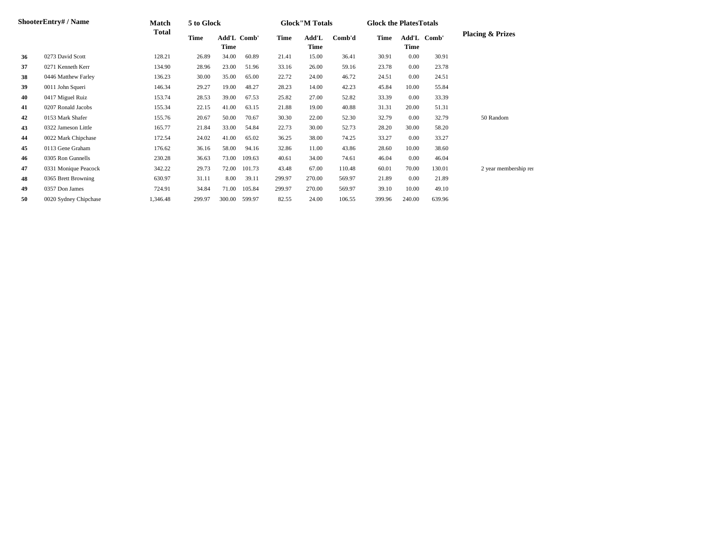|    | ShooterEntry# / Name  | Match    | 5 to Glock  |                     |        |        | <b>Glock</b> "M Totals |        | <b>Glock the Plates Totals</b> |        |             |                             |
|----|-----------------------|----------|-------------|---------------------|--------|--------|------------------------|--------|--------------------------------|--------|-------------|-----------------------------|
|    |                       | Total    | <b>Time</b> | Add'L Comb'<br>Time |        | Time   | Add'L<br>Time          | Comb'd | <b>Time</b>                    | Time   | Add'L Comb' | <b>Placing &amp; Prizes</b> |
| 36 | 0273 David Scott      | 128.21   | 26.89       | 34.00               | 60.89  | 21.41  | 15.00                  | 36.41  | 30.91                          | 0.00   | 30.91       |                             |
| 37 | 0271 Kenneth Kerr     | 134.90   | 28.96       | 23.00               | 51.96  | 33.16  | 26.00                  | 59.16  | 23.78                          | 0.00   | 23.78       |                             |
| 38 | 0446 Matthew Farley   | 136.23   | 30.00       | 35.00               | 65.00  | 22.72  | 24.00                  | 46.72  | 24.51                          | 0.00   | 24.51       |                             |
| 39 | 0011 John Squeri      | 146.34   | 29.27       | 19.00               | 48.27  | 28.23  | 14.00                  | 42.23  | 45.84                          | 10.00  | 55.84       |                             |
| 40 | 0417 Miguel Ruiz      | 153.74   | 28.53       | 39.00               | 67.53  | 25.82  | 27.00                  | 52.82  | 33.39                          | 0.00   | 33.39       |                             |
| 41 | 0207 Ronald Jacobs    | 155.34   | 22.15       | 41.00               | 63.15  | 21.88  | 19.00                  | 40.88  | 31.31                          | 20.00  | 51.31       |                             |
| 42 | 0153 Mark Shafer      | 155.76   | 20.67       | 50.00               | 70.67  | 30.30  | 22.00                  | 52.30  | 32.79                          | 0.00   | 32.79       | 50 Random                   |
| 43 | 0322 Jameson Little   | 165.77   | 21.84       | 33.00               | 54.84  | 22.73  | 30.00                  | 52.73  | 28.20                          | 30.00  | 58.20       |                             |
| 44 | 0022 Mark Chipchase   | 172.54   | 24.02       | 41.00               | 65.02  | 36.25  | 38.00                  | 74.25  | 33.27                          | 0.00   | 33.27       |                             |
| 45 | 0113 Gene Graham      | 176.62   | 36.16       | 58.00               | 94.16  | 32.86  | 11.00                  | 43.86  | 28.60                          | 10.00  | 38.60       |                             |
| 46 | 0305 Ron Gunnells     | 230.28   | 36.63       | 73.00               | 109.63 | 40.61  | 34.00                  | 74.61  | 46.04                          | 0.00   | 46.04       |                             |
| 47 | 0331 Monique Peacock  | 342.22   | 29.73       | 72.00               | 101.73 | 43.48  | 67.00                  | 110.48 | 60.01                          | 70.00  | 130.01      | 2 year membership rei       |
| 48 | 0365 Brett Browning   | 630.97   | 31.11       | 8.00                | 39.11  | 299.97 | 270.00                 | 569.97 | 21.89                          | 0.00   | 21.89       |                             |
| 49 | 0357 Don James        | 724.91   | 34.84       | 71.00               | 105.84 | 299.97 | 270.00                 | 569.97 | 39.10                          | 10.00  | 49.10       |                             |
| 50 | 0020 Sydney Chipchase | 1,346.48 | 299.97      | 300.00              | 599.97 | 82.55  | 24.00                  | 106.55 | 399.96                         | 240.00 | 639.96      |                             |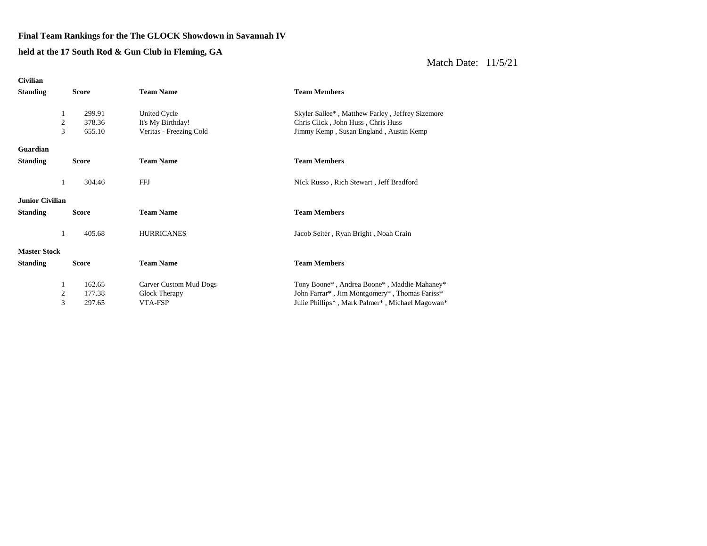### **Final Team Rankings for the The GLOCK Showdown in Savannah IV**

**held at the 17 South Rod & Gun Club in Fleming, GA**

| <b>Civilian</b>        |                     |                  |                                              |                                                                              |
|------------------------|---------------------|------------------|----------------------------------------------|------------------------------------------------------------------------------|
| <b>Standing</b>        |                     | <b>Score</b>     | <b>Team Name</b>                             | <b>Team Members</b>                                                          |
|                        |                     |                  |                                              |                                                                              |
|                        | 1                   | 299.91<br>378.36 | United Cycle                                 | Skyler Sallee*, Matthew Farley, Jeffrey Sizemore                             |
|                        | $\overline{c}$<br>3 | 655.10           | It's My Birthday!<br>Veritas - Freezing Cold | Chris Click, John Huss, Chris Huss<br>Jimmy Kemp, Susan England, Austin Kemp |
|                        |                     |                  |                                              |                                                                              |
| Guardian               |                     |                  |                                              |                                                                              |
| <b>Standing</b>        |                     | <b>Score</b>     | <b>Team Name</b>                             | <b>Team Members</b>                                                          |
|                        |                     |                  |                                              |                                                                              |
|                        | 1                   | 304.46           | <b>FFJ</b>                                   | NIck Russo, Rich Stewart, Jeff Bradford                                      |
|                        |                     |                  |                                              |                                                                              |
| <b>Junior Civilian</b> |                     |                  |                                              |                                                                              |
| <b>Standing</b>        |                     | <b>Score</b>     | <b>Team Name</b>                             | <b>Team Members</b>                                                          |
|                        |                     |                  |                                              |                                                                              |
|                        | 1                   | 405.68           | <b>HURRICANES</b>                            | Jacob Seiter, Ryan Bright, Noah Crain                                        |
|                        |                     |                  |                                              |                                                                              |
| <b>Master Stock</b>    |                     |                  |                                              |                                                                              |
| <b>Standing</b>        |                     | <b>Score</b>     | <b>Team Name</b>                             | <b>Team Members</b>                                                          |
|                        |                     |                  |                                              |                                                                              |
|                        | 1                   | 162.65           | <b>Carver Custom Mud Dogs</b>                | Tony Boone*, Andrea Boone*, Maddie Mahaney*                                  |
|                        | 2                   | 177.38           | Glock Therapy                                | John Farrar*, Jim Montgomery*, Thomas Fariss*                                |
|                        | 3                   | 297.65           | VTA-FSP                                      | Julie Phillips*, Mark Palmer*, Michael Magowan*                              |
|                        |                     |                  |                                              |                                                                              |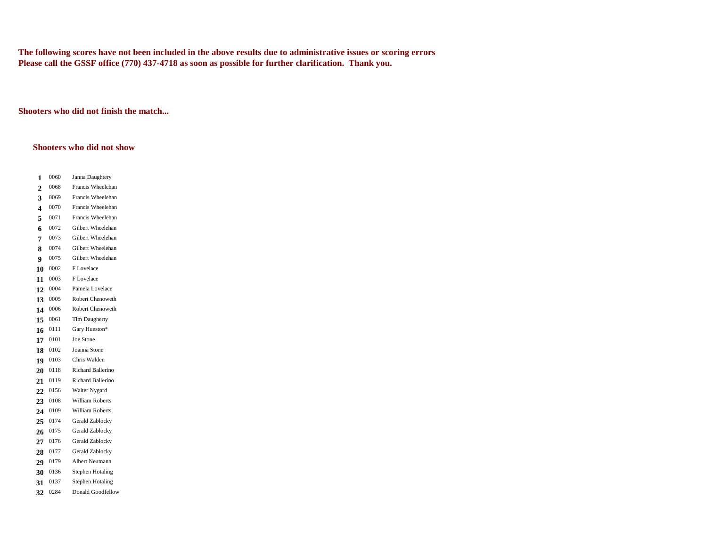**The following scores have not been included in the above results due to administrative issues or scoring errors Please call the GSSF office (770) 437-4718 as soon as possible for further clarification. Thank you.**

**Shooters who did not finish the match...**

#### **Shooters who did not show**

1 0060 0068 0069 0070 0071 0072 0073 0074 0075 0002 **11** 0003 F Lovelace 12 0004 13 0005 14 0006 15 0061 16 0111 17 0101 Joe Stone 18 0102 0103 **19** Chris Walden 20 0118 21 0119 22 0156 23 0108 24 0109 25 0174 26 0175 27 0176 28 0177 29 0179 30 0136 31 0137 32 0284 **31** Stephen Hotaling **32** Donald Goodfellow **28** Gerald Zablocky **29** Albert Neumann **30** Stephen Hotaling **25** Gerald Zablocky **26** Gerald Zablocky **27** Gerald Zablocky **22** Walter Nygard **23** William Roberts **24** William Roberts **20** Richard Ballerino **21** Richard Ballerino **16** Gary Hueston\* **18** Joanna Stone **13** Robert Chenoweth **14** Robert Chenoweth **15** Tim Daugherty **10** 0002 F Lovelace **12** Pamela Lovelace 7 0073 Gilbert Wheelehan 8 0074 Gilbert Wheelehan **9** 0075 Gilbert Wheelehan 4 0070 Francis Wheelehan 5 0071 Francis Wheelehan **6** 0072 Gilbert Wheelehan **1** Janna Daughtery 2 0068 Francis Wheelehan **3** 0069 Francis Wheelehan